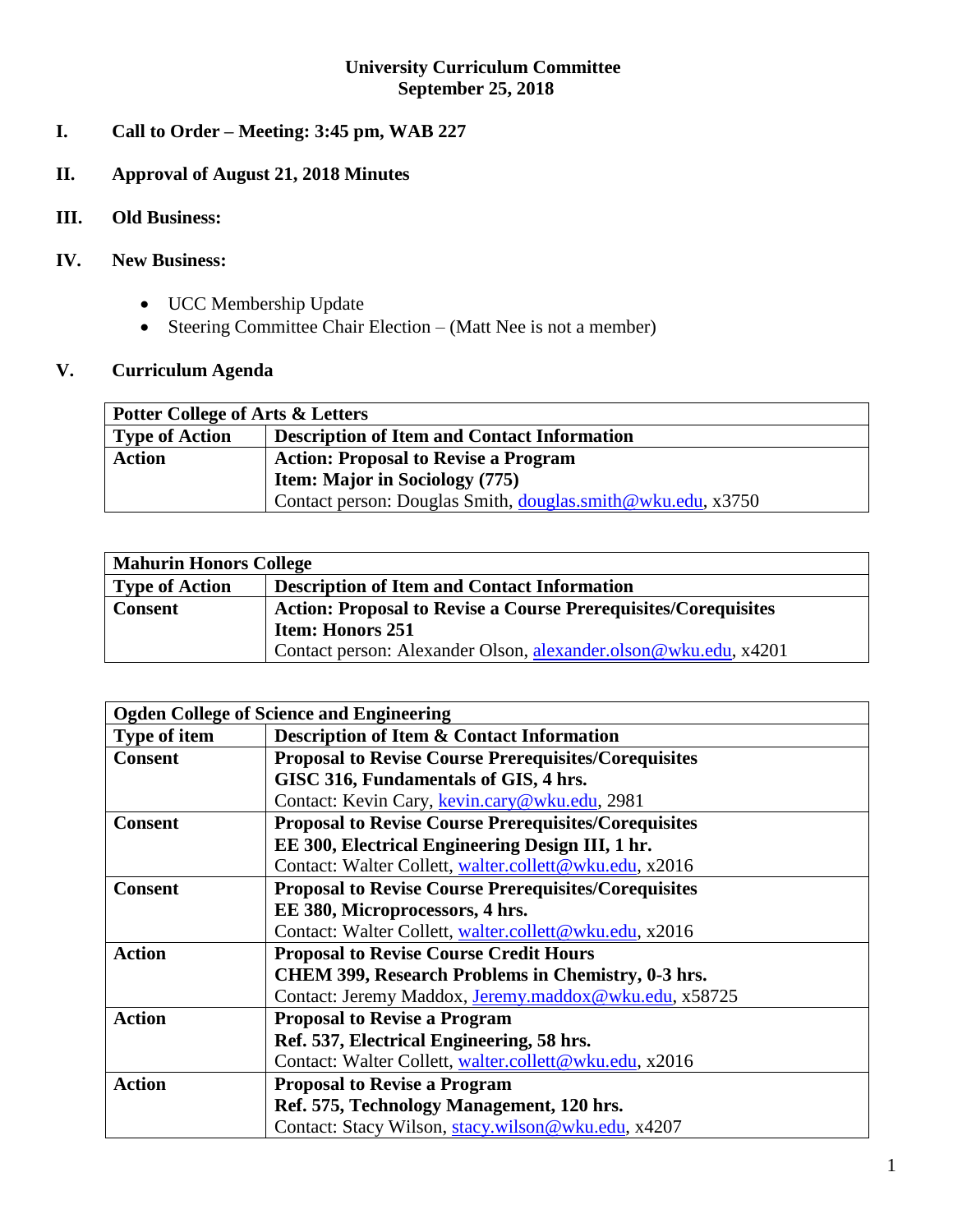# **University Curriculum Committee September 25, 2018**

- **I. Call to Order – Meeting: 3:45 pm, WAB 227**
- **II. Approval of August 21, 2018 Minutes**
- **III. Old Business:**

# **IV. New Business:**

- UCC Membership Update
- Steering Committee Chair Election (Matt Nee is not a member)

# **V. Curriculum Agenda**

| <b>Potter College of Arts &amp; Letters</b> |                                                             |  |
|---------------------------------------------|-------------------------------------------------------------|--|
| <b>Type of Action</b>                       | <b>Description of Item and Contact Information</b>          |  |
| <b>Action</b>                               | <b>Action: Proposal to Revise a Program</b>                 |  |
|                                             | <b>Item: Major in Sociology (775)</b>                       |  |
|                                             | Contact person: Douglas Smith, douglas.smith@wku.edu, x3750 |  |

| <b>Mahurin Honors College</b> |                                                                       |  |  |
|-------------------------------|-----------------------------------------------------------------------|--|--|
| <b>Type of Action</b>         | <b>Description of Item and Contact Information</b>                    |  |  |
| <b>Consent</b>                | <b>Action: Proposal to Revise a Course Prerequisites/Corequisites</b> |  |  |
|                               | <b>Item: Honors 251</b>                                               |  |  |
|                               | Contact person: Alexander Olson, alexander.olson@wku.edu, x4201       |  |  |

| <b>Ogden College of Science and Engineering</b> |                                                             |  |
|-------------------------------------------------|-------------------------------------------------------------|--|
| <b>Type of item</b>                             | <b>Description of Item &amp; Contact Information</b>        |  |
| <b>Consent</b>                                  | <b>Proposal to Revise Course Prerequisites/Corequisites</b> |  |
|                                                 | GISC 316, Fundamentals of GIS, 4 hrs.                       |  |
|                                                 | Contact: Kevin Cary, kevin.cary@wku.edu, 2981               |  |
| <b>Consent</b>                                  | <b>Proposal to Revise Course Prerequisites/Corequisites</b> |  |
|                                                 | EE 300, Electrical Engineering Design III, 1 hr.            |  |
|                                                 | Contact: Walter Collett, walter.collett@wku.edu, x2016      |  |
| <b>Consent</b>                                  | <b>Proposal to Revise Course Prerequisites/Corequisites</b> |  |
|                                                 | EE 380, Microprocessors, 4 hrs.                             |  |
|                                                 | Contact: Walter Collett, walter.collett@wku.edu, x2016      |  |
| <b>Action</b>                                   | <b>Proposal to Revise Course Credit Hours</b>               |  |
|                                                 | CHEM 399, Research Problems in Chemistry, 0-3 hrs.          |  |
|                                                 | Contact: Jeremy Maddox, Jeremy.maddox@wku.edu, x58725       |  |
| <b>Action</b>                                   | <b>Proposal to Revise a Program</b>                         |  |
|                                                 | Ref. 537, Electrical Engineering, 58 hrs.                   |  |
|                                                 | Contact: Walter Collett, walter.collett@wku.edu, x2016      |  |
| <b>Action</b>                                   | <b>Proposal to Revise a Program</b>                         |  |
|                                                 | Ref. 575, Technology Management, 120 hrs.                   |  |
|                                                 | Contact: Stacy Wilson, stacy.wilson@wku.edu, x4207          |  |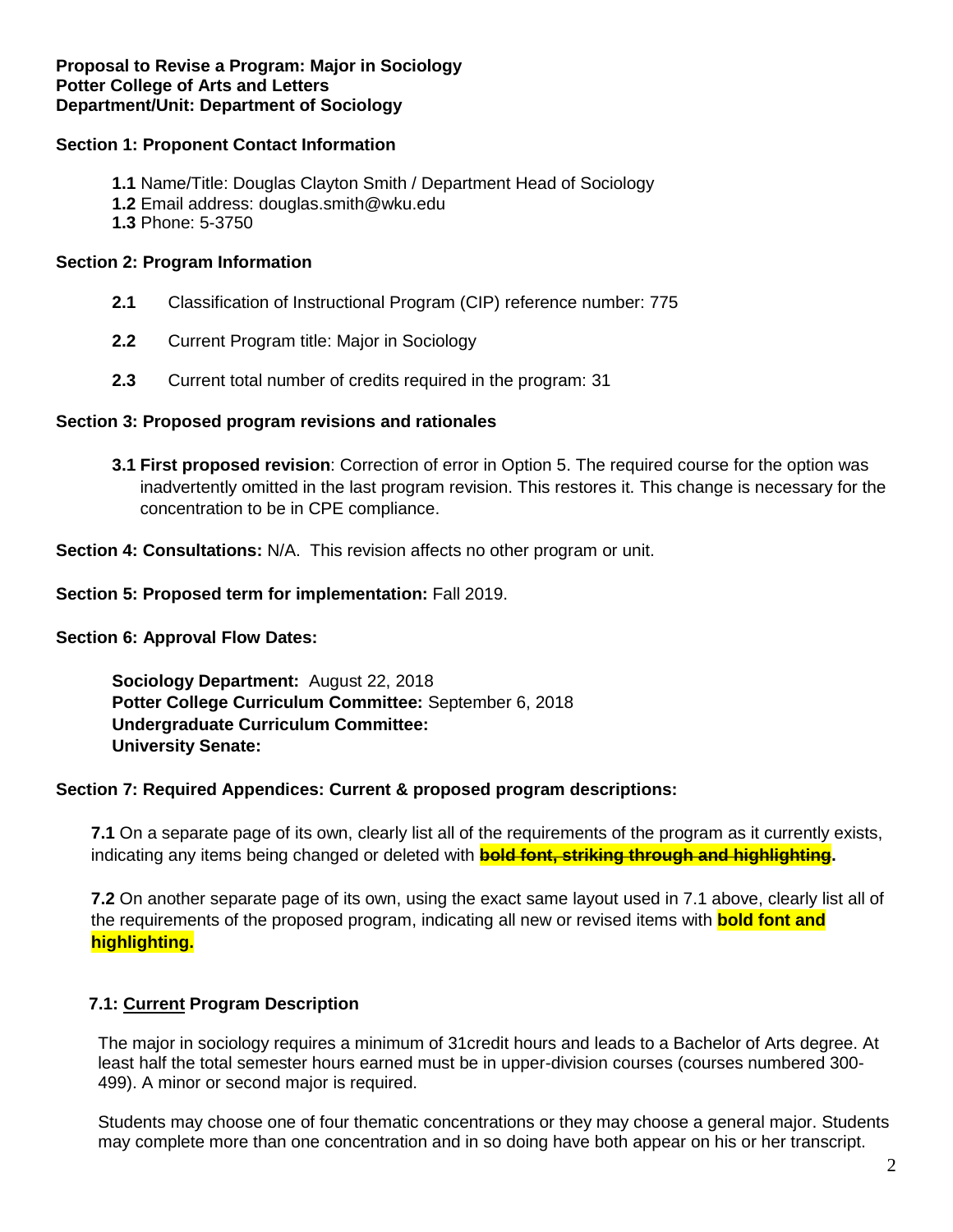#### **Section 1: Proponent Contact Information**

- **1.1** Name/Title: Douglas Clayton Smith / Department Head of Sociology
- **1.2** Email address: douglas.smith@wku.edu
- **1.3** Phone: 5-3750

#### **Section 2: Program Information**

- **2.1** Classification of Instructional Program (CIP) reference number: 775
- **2.2** Current Program title: Major in Sociology
- **2.3** Current total number of credits required in the program: 31

#### **Section 3: Proposed program revisions and rationales**

**3.1 First proposed revision**: Correction of error in Option 5. The required course for the option was inadvertently omitted in the last program revision. This restores it. This change is necessary for the concentration to be in CPE compliance.

**Section 4: Consultations:** N/A. This revision affects no other program or unit.

#### **Section 5: Proposed term for implementation:** Fall 2019.

#### **Section 6: Approval Flow Dates:**

**Sociology Department:** August 22, 2018 **Potter College Curriculum Committee:** September 6, 2018 **Undergraduate Curriculum Committee: University Senate:** 

#### **Section 7: Required Appendices: Current & proposed program descriptions:**

**7.1** On a separate page of its own, clearly list all of the requirements of the program as it currently exists, indicating any items being changed or deleted with **bold font, striking through and highlighting.**

**7.2** On another separate page of its own, using the exact same layout used in 7.1 above, clearly list all of the requirements of the proposed program, indicating all new or revised items with **bold font and highlighting.**

#### **7.1: Current Program Description**

The major in sociology requires a minimum of 31credit hours and leads to a Bachelor of Arts degree. At least half the total semester hours earned must be in upper-division courses (courses numbered 300- 499). A minor or second major is required.

Students may choose one of four thematic concentrations or they may choose a general major. Students may complete more than one concentration and in so doing have both appear on his or her transcript.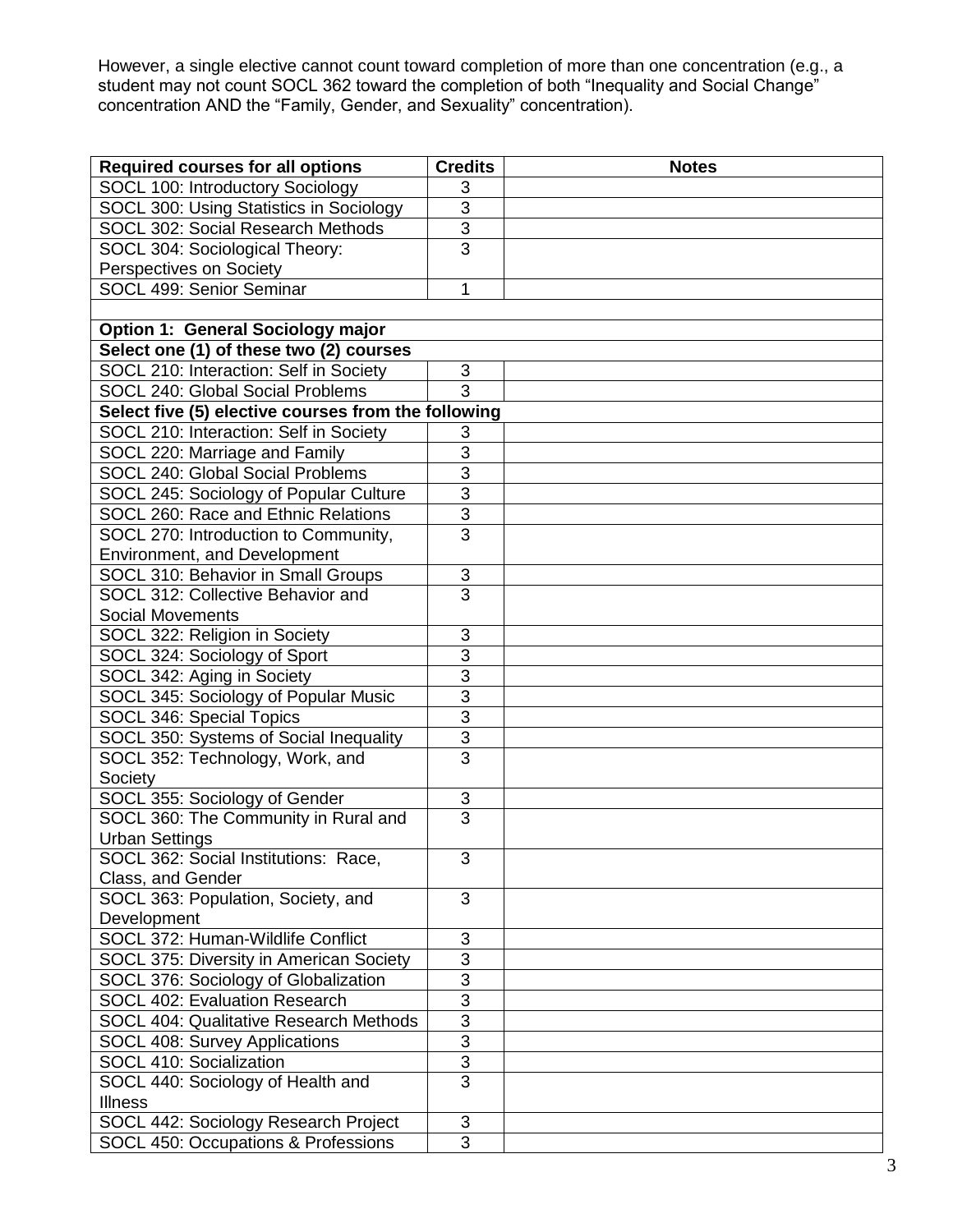However, a single elective cannot count toward completion of more than one concentration (e.g., a student may not count SOCL 362 toward the completion of both "Inequality and Social Change" concentration AND the "Family, Gender, and Sexuality" concentration).

| <b>Required courses for all options</b>             | <b>Credits</b> | <b>Notes</b> |
|-----------------------------------------------------|----------------|--------------|
| SOCL 100: Introductory Sociology                    | 3              |              |
| SOCL 300: Using Statistics in Sociology             | $\overline{3}$ |              |
| SOCL 302: Social Research Methods                   | $\overline{3}$ |              |
| SOCL 304: Sociological Theory:                      | $\overline{3}$ |              |
| Perspectives on Society                             |                |              |
| SOCL 499: Senior Seminar                            | 1              |              |
|                                                     |                |              |
| <b>Option 1: General Sociology major</b>            |                |              |
| Select one (1) of these two (2) courses             |                |              |
| SOCL 210: Interaction: Self in Society              | 3              |              |
| SOCL 240: Global Social Problems                    | $\overline{3}$ |              |
| Select five (5) elective courses from the following |                |              |
| SOCL 210: Interaction: Self in Society              | 3              |              |
| SOCL 220: Marriage and Family                       | $\overline{3}$ |              |
| SOCL 240: Global Social Problems                    | $\overline{3}$ |              |
| SOCL 245: Sociology of Popular Culture              | $\overline{3}$ |              |
| SOCL 260: Race and Ethnic Relations                 | $\overline{3}$ |              |
| SOCL 270: Introduction to Community,                | $\overline{3}$ |              |
| Environment, and Development                        |                |              |
| SOCL 310: Behavior in Small Groups                  | 3              |              |
| SOCL 312: Collective Behavior and                   | $\overline{3}$ |              |
| <b>Social Movements</b>                             |                |              |
| SOCL 322: Religion in Society                       | 3              |              |
| SOCL 324: Sociology of Sport                        | 3              |              |
| SOCL 342: Aging in Society                          | $\overline{3}$ |              |
| SOCL 345: Sociology of Popular Music                | $\overline{3}$ |              |
| SOCL 346: Special Topics                            | $\overline{3}$ |              |
| SOCL 350: Systems of Social Inequality              | $\overline{3}$ |              |
| SOCL 352: Technology, Work, and                     | $\overline{3}$ |              |
| Society                                             |                |              |
| SOCL 355: Sociology of Gender                       | 3              |              |
| SOCL 360: The Community in Rural and                | $\overline{3}$ |              |
| <b>Urban Settings</b>                               |                |              |
| SOCL 362: Social Institutions: Race,                | 3              |              |
| Class, and Gender                                   |                |              |
| SOCL 363: Population, Society, and                  | 3              |              |
| Development                                         |                |              |
| SOCL 372: Human-Wildlife Conflict                   | $\mathsf 3$    |              |
| SOCL 375: Diversity in American Society             | $\overline{3}$ |              |
| SOCL 376: Sociology of Globalization                | $\overline{3}$ |              |
| SOCL 402: Evaluation Research                       | $\overline{3}$ |              |
| SOCL 404: Qualitative Research Methods              | 3              |              |
| SOCL 408: Survey Applications                       | $\overline{3}$ |              |
| SOCL 410: Socialization                             | $\overline{3}$ |              |
| SOCL 440: Sociology of Health and                   | $\overline{3}$ |              |
| <b>Illness</b>                                      |                |              |
| SOCL 442: Sociology Research Project                | 3              |              |
| SOCL 450: Occupations & Professions                 |                |              |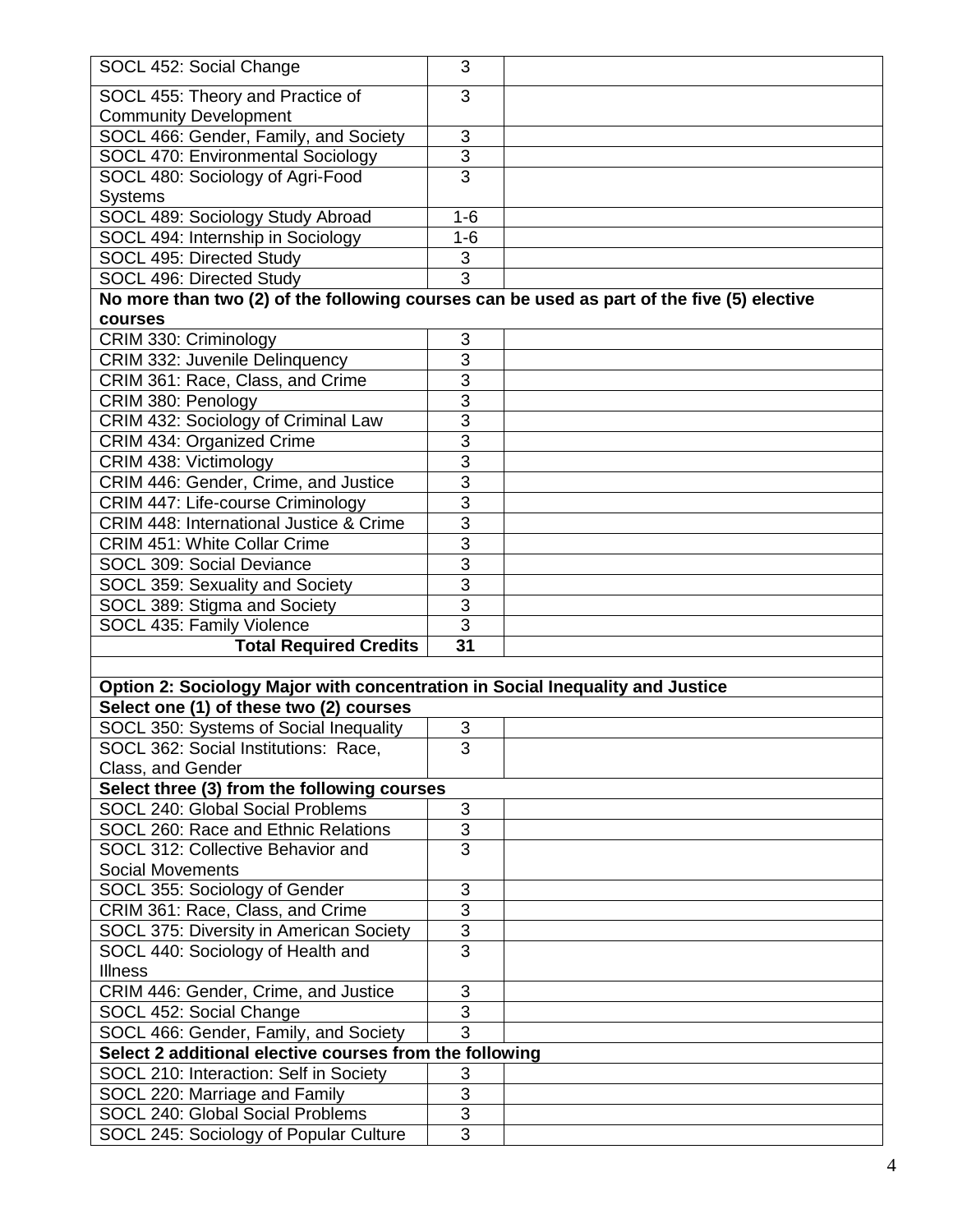| SOCL 452: Social Change                                                                    | 3               |  |
|--------------------------------------------------------------------------------------------|-----------------|--|
| SOCL 455: Theory and Practice of                                                           | 3               |  |
| <b>Community Development</b>                                                               |                 |  |
| SOCL 466: Gender, Family, and Society                                                      | 3               |  |
| SOCL 470: Environmental Sociology                                                          | $\overline{3}$  |  |
| SOCL 480: Sociology of Agri-Food                                                           | $\overline{3}$  |  |
| Systems                                                                                    |                 |  |
| SOCL 489: Sociology Study Abroad                                                           | $1 - 6$         |  |
| SOCL 494: Internship in Sociology                                                          | $1 - 6$         |  |
| SOCL 495: Directed Study                                                                   | 3               |  |
| SOCL 496: Directed Study                                                                   | $\overline{3}$  |  |
| No more than two (2) of the following courses can be used as part of the five (5) elective |                 |  |
| courses                                                                                    |                 |  |
| CRIM 330: Criminology                                                                      | 3               |  |
| CRIM 332: Juvenile Delinquency                                                             | 3               |  |
| CRIM 361: Race, Class, and Crime                                                           | $\overline{3}$  |  |
| CRIM 380: Penology                                                                         | 3               |  |
| CRIM 432: Sociology of Criminal Law                                                        | $\overline{3}$  |  |
| CRIM 434: Organized Crime                                                                  | 3               |  |
| CRIM 438: Victimology                                                                      | $\overline{3}$  |  |
| CRIM 446: Gender, Crime, and Justice                                                       | 3               |  |
| CRIM 447: Life-course Criminology                                                          | $\overline{3}$  |  |
| CRIM 448: International Justice & Crime                                                    | $\overline{3}$  |  |
| <b>CRIM 451: White Collar Crime</b>                                                        | 3               |  |
| SOCL 309: Social Deviance                                                                  | $\overline{3}$  |  |
| SOCL 359: Sexuality and Society                                                            | 3               |  |
| SOCL 389: Stigma and Society                                                               | $\overline{3}$  |  |
| SOCL 435: Family Violence                                                                  | $\overline{3}$  |  |
| <b>Total Required Credits</b>                                                              | $\overline{31}$ |  |
|                                                                                            |                 |  |
| Option 2: Sociology Major with concentration in Social Inequality and Justice              |                 |  |
| Select one (1) of these two (2) courses                                                    |                 |  |
| SOCL 350: Systems of Social Inequality                                                     | 3               |  |
| SOCL 362: Social Institutions: Race                                                        | 3               |  |
| Class, and Gender                                                                          |                 |  |
| Select three (3) from the following courses                                                |                 |  |
| SOCL 240: Global Social Problems                                                           | $\sqrt{3}$      |  |
| SOCL 260: Race and Ethnic Relations                                                        | $\overline{3}$  |  |
| SOCL 312: Collective Behavior and                                                          | $\overline{3}$  |  |
| <b>Social Movements</b>                                                                    |                 |  |
| SOCL 355: Sociology of Gender                                                              | 3               |  |
| CRIM 361: Race, Class, and Crime                                                           | 3               |  |
| SOCL 375: Diversity in American Society                                                    | $\overline{3}$  |  |
| SOCL 440: Sociology of Health and                                                          | $\overline{3}$  |  |
| <b>Illness</b>                                                                             |                 |  |
| CRIM 446: Gender, Crime, and Justice                                                       | 3               |  |
| SOCL 452: Social Change                                                                    | 3               |  |
| $\overline{3}$<br>SOCL 466: Gender, Family, and Society                                    |                 |  |
| Select 2 additional elective courses from the following                                    |                 |  |
| SOCL 210: Interaction: Self in Society                                                     | 3               |  |
| SOCL 220: Marriage and Family                                                              | $\overline{3}$  |  |
| SOCL 240: Global Social Problems                                                           | 3               |  |
| SOCL 245: Sociology of Popular Culture                                                     | $\overline{3}$  |  |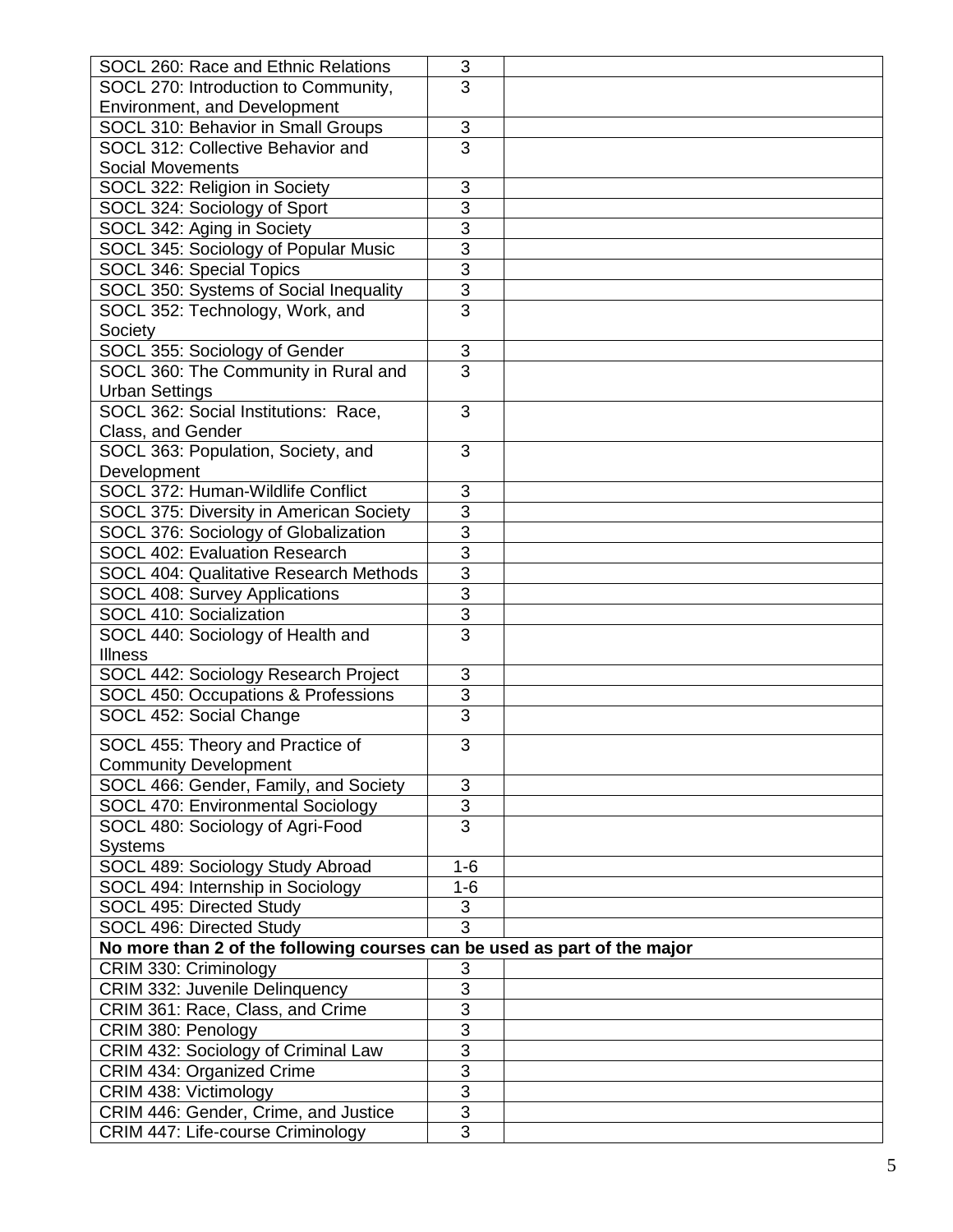| SOCL 260: Race and Ethnic Relations                                      | $\sqrt{3}$                   |  |
|--------------------------------------------------------------------------|------------------------------|--|
| SOCL 270: Introduction to Community,                                     | 3                            |  |
| Environment, and Development                                             |                              |  |
| SOCL 310: Behavior in Small Groups                                       | $\sqrt{3}$                   |  |
| SOCL 312: Collective Behavior and                                        | $\overline{3}$               |  |
| <b>Social Movements</b>                                                  |                              |  |
| SOCL 322: Religion in Society                                            | 3                            |  |
| SOCL 324: Sociology of Sport                                             | 3                            |  |
| SOCL 342: Aging in Society                                               | 3                            |  |
| SOCL 345: Sociology of Popular Music                                     | $\overline{3}$               |  |
|                                                                          |                              |  |
| SOCL 346: Special Topics                                                 | $\overline{3}$               |  |
| SOCL 350: Systems of Social Inequality                                   | $\overline{3}$               |  |
| SOCL 352: Technology, Work, and                                          | $\overline{3}$               |  |
| Society                                                                  |                              |  |
| SOCL 355: Sociology of Gender                                            | $\sqrt{3}$                   |  |
| SOCL 360: The Community in Rural and                                     | $\overline{3}$               |  |
| <b>Urban Settings</b>                                                    |                              |  |
| SOCL 362: Social Institutions: Race,                                     | 3                            |  |
| Class, and Gender                                                        |                              |  |
| SOCL 363: Population, Society, and                                       | 3                            |  |
| Development                                                              |                              |  |
| SOCL 372: Human-Wildlife Conflict                                        | 3                            |  |
| SOCL 375: Diversity in American Society                                  | $\overline{3}$               |  |
| SOCL 376: Sociology of Globalization                                     | $\overline{3}$               |  |
| SOCL 402: Evaluation Research                                            | 3                            |  |
| SOCL 404: Qualitative Research Methods                                   | $\overline{3}$               |  |
| SOCL 408: Survey Applications                                            | 3                            |  |
| SOCL 410: Socialization                                                  | $\overline{3}$               |  |
| SOCL 440: Sociology of Health and                                        | $\overline{3}$               |  |
| <b>Illness</b>                                                           |                              |  |
| SOCL 442: Sociology Research Project                                     | 3                            |  |
| SOCL 450: Occupations & Professions                                      | $\overline{3}$               |  |
| SOCL 452: Social Change                                                  | 3                            |  |
|                                                                          |                              |  |
| SOCL 455: Theory and Practice of                                         | 3                            |  |
| <b>Community Development</b>                                             |                              |  |
| SOCL 466: Gender, Family, and Society                                    | $\mathfrak{B}$               |  |
| SOCL 470: Environmental Sociology                                        | $\overline{3}$               |  |
| SOCL 480: Sociology of Agri-Food                                         | $\overline{3}$               |  |
| <b>Systems</b>                                                           |                              |  |
| SOCL 489: Sociology Study Abroad                                         | $1 - 6$                      |  |
| SOCL 494: Internship in Sociology                                        | $1-6$                        |  |
| SOCL 495: Directed Study                                                 | $\ensuremath{\mathsf{3}}$    |  |
| SOCL 496: Directed Study                                                 | $\overline{3}$               |  |
| No more than 2 of the following courses can be used as part of the major |                              |  |
|                                                                          |                              |  |
| CRIM 330: Criminology                                                    | $\sqrt{3}$<br>$\overline{3}$ |  |
| CRIM 332: Juvenile Delinquency                                           |                              |  |
| CRIM 361: Race, Class, and Crime                                         | $\overline{3}$               |  |
| CRIM 380: Penology                                                       | 3                            |  |
| CRIM 432: Sociology of Criminal Law                                      | $\overline{3}$               |  |
| CRIM 434: Organized Crime                                                | $\overline{3}$               |  |
| CRIM 438: Victimology                                                    | $\overline{3}$               |  |
| CRIM 446: Gender, Crime, and Justice                                     | $\overline{3}$               |  |
| CRIM 447: Life-course Criminology                                        | $\overline{3}$               |  |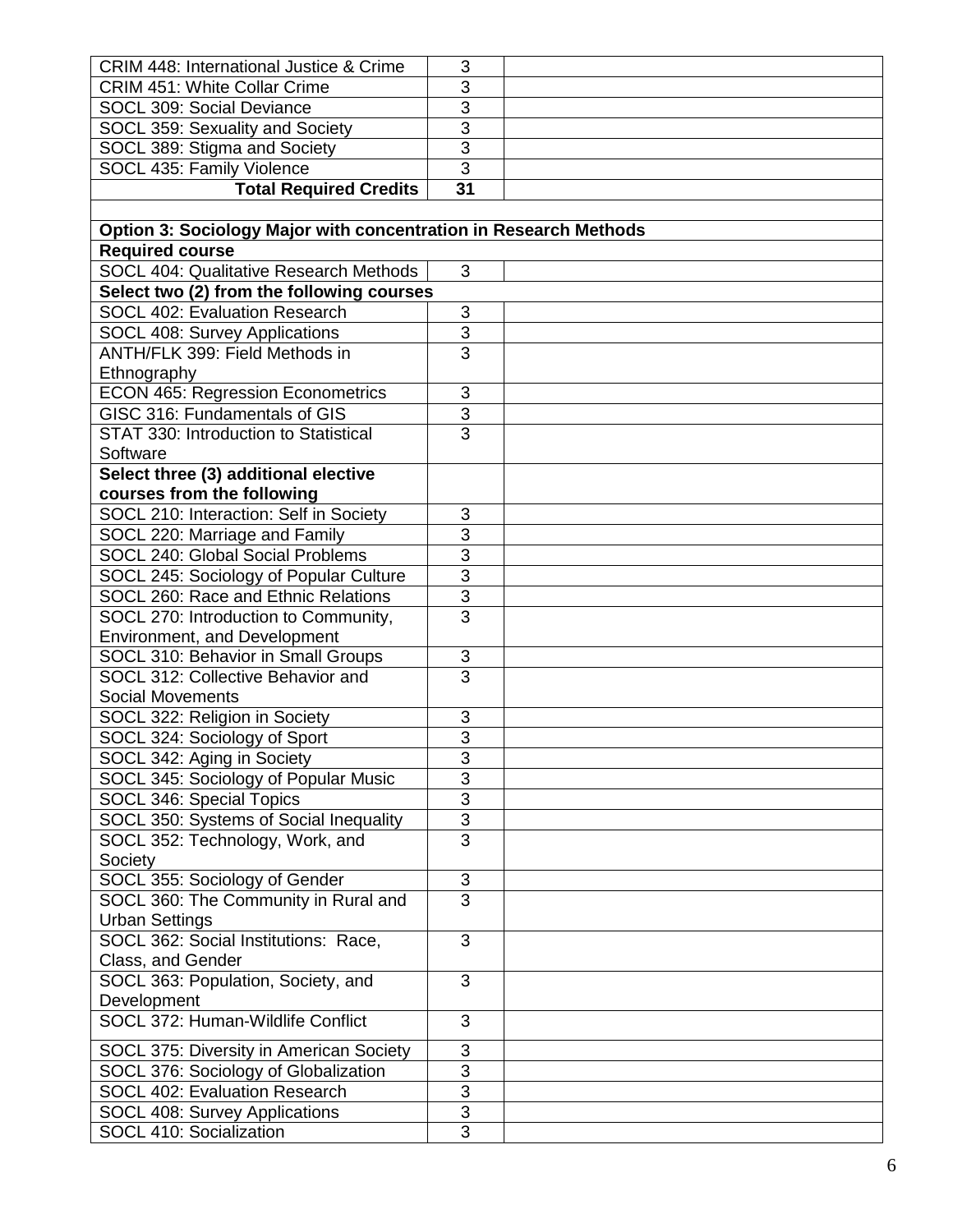| <b>CRIM 448: International Justice &amp; Crime</b>               | 3              |  |
|------------------------------------------------------------------|----------------|--|
| <b>CRIM 451: White Collar Crime</b>                              | 3              |  |
| SOCL 309: Social Deviance                                        | 3              |  |
| SOCL 359: Sexuality and Society                                  | $\overline{3}$ |  |
| SOCL 389: Stigma and Society                                     | $\overline{3}$ |  |
| SOCL 435: Family Violence                                        | $\overline{3}$ |  |
| <b>Total Required Credits</b>                                    | 31             |  |
|                                                                  |                |  |
| Option 3: Sociology Major with concentration in Research Methods |                |  |
| <b>Required course</b>                                           |                |  |
| SOCL 404: Qualitative Research Methods                           | 3              |  |
| Select two (2) from the following courses                        |                |  |
| SOCL 402: Evaluation Research                                    | 3              |  |
| SOCL 408: Survey Applications                                    | 3              |  |
| ANTH/FLK 399: Field Methods in                                   | $\overline{3}$ |  |
| Ethnography                                                      |                |  |
| <b>ECON 465: Regression Econometrics</b>                         | 3              |  |
| GISC 316: Fundamentals of GIS                                    | $\overline{3}$ |  |
| STAT 330: Introduction to Statistical                            | $\overline{3}$ |  |
| Software                                                         |                |  |
| Select three (3) additional elective                             |                |  |
| courses from the following                                       |                |  |
| SOCL 210: Interaction: Self in Society                           | 3              |  |
| SOCL 220: Marriage and Family                                    | 3              |  |
| SOCL 240: Global Social Problems                                 | $\overline{3}$ |  |
| SOCL 245: Sociology of Popular Culture                           | $\overline{3}$ |  |
| SOCL 260: Race and Ethnic Relations                              | $\overline{3}$ |  |
| SOCL 270: Introduction to Community,                             | $\overline{3}$ |  |
| Environment, and Development                                     |                |  |
| SOCL 310: Behavior in Small Groups                               | $\sqrt{3}$     |  |
| SOCL 312: Collective Behavior and                                | $\overline{3}$ |  |
| <b>Social Movements</b>                                          |                |  |
| SOCL 322: Religion in Society                                    | 3              |  |
| SOCL 324: Sociology of Sport                                     | $\overline{3}$ |  |
| SOCL 342: Aging in Society                                       | 3              |  |
| SOCL 345: Sociology of Popular Music                             | 3              |  |
| SOCL 346: Special Topics                                         | $\overline{3}$ |  |
| SOCL 350: Systems of Social Inequality                           | 3              |  |
| SOCL 352: Technology, Work, and                                  | $\overline{3}$ |  |
| Society                                                          |                |  |
| SOCL 355: Sociology of Gender                                    | 3              |  |
| SOCL 360: The Community in Rural and                             | $\overline{3}$ |  |
| <b>Urban Settings</b>                                            |                |  |
| SOCL 362: Social Institutions: Race,                             | 3              |  |
| Class, and Gender                                                |                |  |
| SOCL 363: Population, Society, and                               | 3              |  |
| Development                                                      |                |  |
| SOCL 372: Human-Wildlife Conflict                                | 3              |  |
| SOCL 375: Diversity in American Society                          | 3              |  |
| SOCL 376: Sociology of Globalization                             | $\overline{3}$ |  |
| <b>SOCL 402: Evaluation Research</b>                             | $\overline{3}$ |  |
| SOCL 408: Survey Applications                                    | $\overline{3}$ |  |
| SOCL 410: Socialization                                          | 3              |  |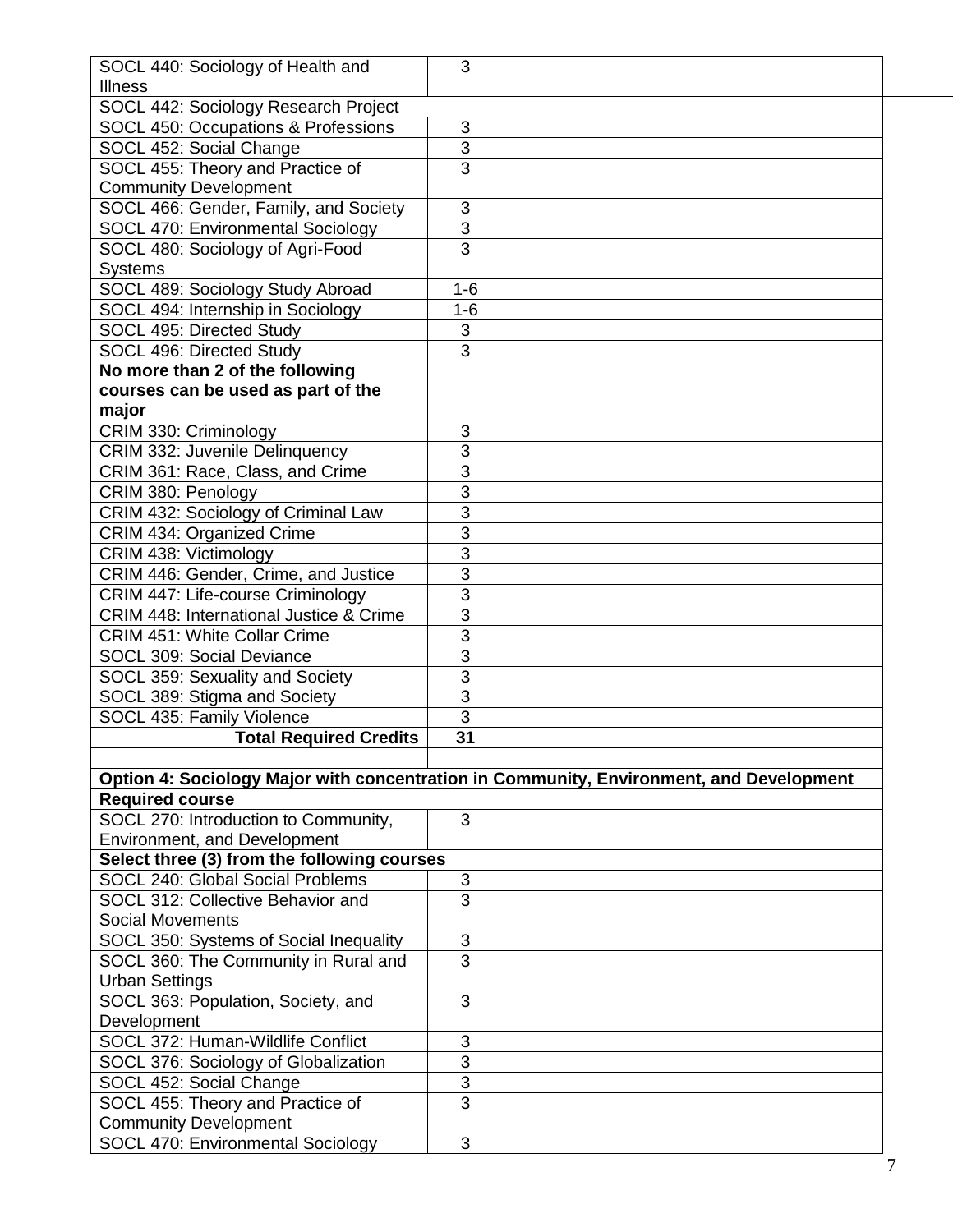| SOCL 440: Sociology of Health and                                                       | 3                         |  |  |  |  |
|-----------------------------------------------------------------------------------------|---------------------------|--|--|--|--|
| <b>Illness</b>                                                                          |                           |  |  |  |  |
| SOCL 442: Sociology Research Project                                                    |                           |  |  |  |  |
| SOCL 450: Occupations & Professions                                                     | 3                         |  |  |  |  |
| SOCL 452: Social Change                                                                 | 3                         |  |  |  |  |
| SOCL 455: Theory and Practice of                                                        | 3                         |  |  |  |  |
| <b>Community Development</b>                                                            |                           |  |  |  |  |
| SOCL 466: Gender, Family, and Society                                                   | 3                         |  |  |  |  |
| SOCL 470: Environmental Sociology                                                       | $\overline{3}$            |  |  |  |  |
| SOCL 480: Sociology of Agri-Food                                                        | $\overline{3}$            |  |  |  |  |
| <b>Systems</b>                                                                          |                           |  |  |  |  |
| SOCL 489: Sociology Study Abroad                                                        | $1 - 6$                   |  |  |  |  |
| SOCL 494: Internship in Sociology                                                       | $1-6$                     |  |  |  |  |
| SOCL 495: Directed Study                                                                | 3                         |  |  |  |  |
| SOCL 496: Directed Study                                                                | $\overline{3}$            |  |  |  |  |
| No more than 2 of the following                                                         |                           |  |  |  |  |
| courses can be used as part of the                                                      |                           |  |  |  |  |
| major                                                                                   |                           |  |  |  |  |
| CRIM 330: Criminology                                                                   | 3                         |  |  |  |  |
| CRIM 332: Juvenile Delinquency                                                          | 3                         |  |  |  |  |
| CRIM 361: Race, Class, and Crime                                                        | $\overline{3}$            |  |  |  |  |
| CRIM 380: Penology                                                                      | 3                         |  |  |  |  |
| CRIM 432: Sociology of Criminal Law                                                     | 3                         |  |  |  |  |
| CRIM 434: Organized Crime                                                               | 3                         |  |  |  |  |
| CRIM 438: Victimology                                                                   | 3                         |  |  |  |  |
| CRIM 446: Gender, Crime, and Justice                                                    | $\overline{3}$            |  |  |  |  |
| CRIM 447: Life-course Criminology                                                       | 3                         |  |  |  |  |
| CRIM 448: International Justice & Crime                                                 | $\overline{3}$            |  |  |  |  |
| <b>CRIM 451: White Collar Crime</b>                                                     | 3                         |  |  |  |  |
| SOCL 309: Social Deviance                                                               | 3                         |  |  |  |  |
| SOCL 359: Sexuality and Society                                                         | 3                         |  |  |  |  |
| SOCL 389: Stigma and Society                                                            | $\overline{3}$            |  |  |  |  |
| SOCL 435: Family Violence                                                               | 3                         |  |  |  |  |
| <b>Total Required Credits</b>                                                           | 31                        |  |  |  |  |
|                                                                                         |                           |  |  |  |  |
| Option 4: Sociology Major with concentration in Community, Environment, and Development |                           |  |  |  |  |
| <b>Required course</b>                                                                  |                           |  |  |  |  |
| SOCL 270: Introduction to Community,                                                    | 3                         |  |  |  |  |
| Environment, and Development                                                            |                           |  |  |  |  |
| Select three (3) from the following courses                                             |                           |  |  |  |  |
| SOCL 240: Global Social Problems                                                        | $\ensuremath{\mathsf{3}}$ |  |  |  |  |
| SOCL 312: Collective Behavior and                                                       | $\overline{3}$            |  |  |  |  |
| <b>Social Movements</b>                                                                 |                           |  |  |  |  |
| SOCL 350: Systems of Social Inequality                                                  | 3                         |  |  |  |  |
| SOCL 360: The Community in Rural and                                                    | 3                         |  |  |  |  |
| <b>Urban Settings</b>                                                                   |                           |  |  |  |  |
| SOCL 363: Population, Society, and                                                      | 3                         |  |  |  |  |
| Development                                                                             |                           |  |  |  |  |
| SOCL 372: Human-Wildlife Conflict                                                       | 3                         |  |  |  |  |
| SOCL 376: Sociology of Globalization                                                    | 3                         |  |  |  |  |
| SOCL 452: Social Change                                                                 | 3                         |  |  |  |  |
| SOCL 455: Theory and Practice of                                                        | 3                         |  |  |  |  |
| <b>Community Development</b>                                                            |                           |  |  |  |  |
| SOCL 470: Environmental Sociology                                                       | 3                         |  |  |  |  |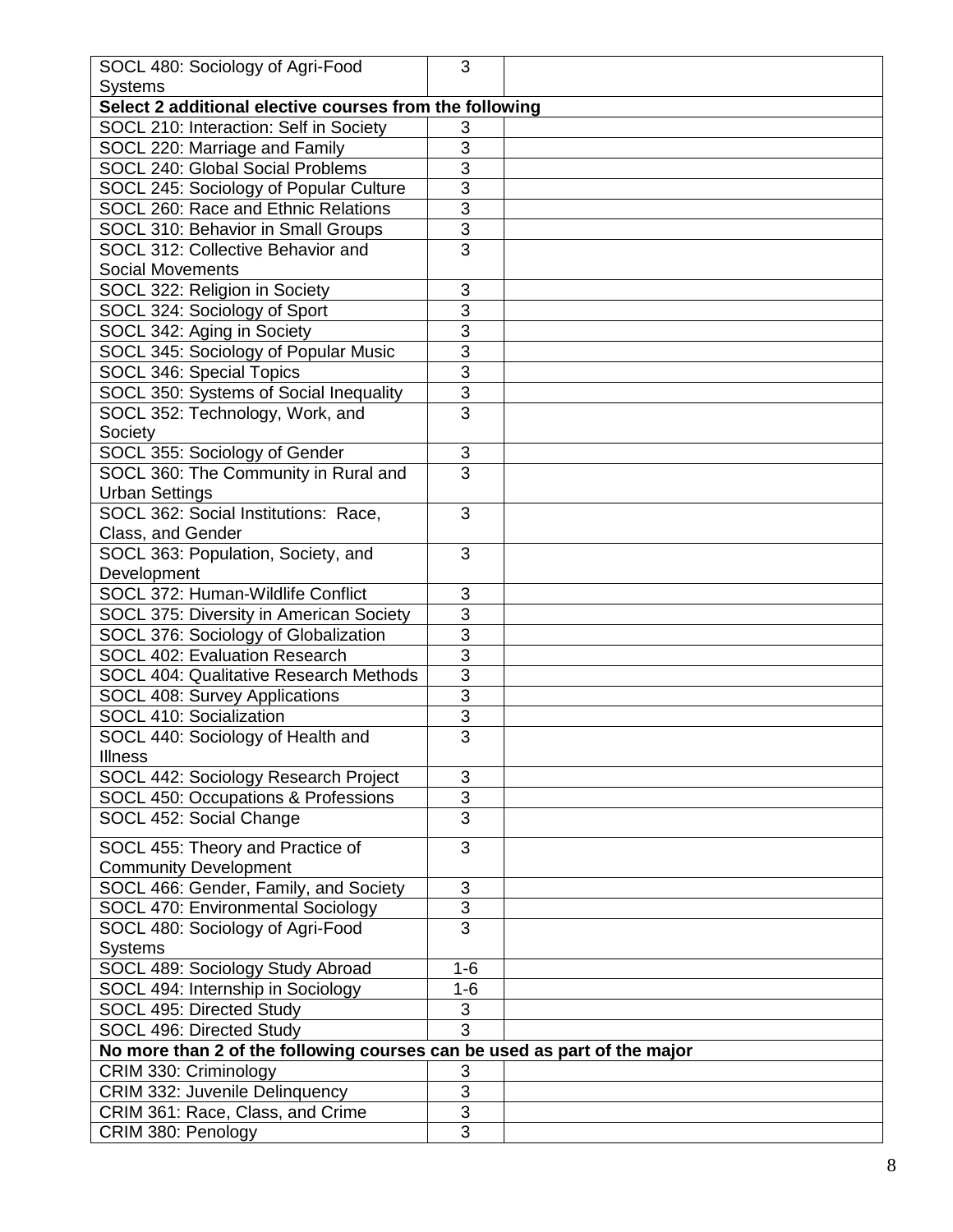| SOCL 480: Sociology of Agri-Food                                         | 3                            |  |  |  |
|--------------------------------------------------------------------------|------------------------------|--|--|--|
| <b>Systems</b>                                                           |                              |  |  |  |
| Select 2 additional elective courses from the following                  |                              |  |  |  |
| SOCL 210: Interaction: Self in Society                                   | 3                            |  |  |  |
| SOCL 220: Marriage and Family                                            | $\overline{3}$               |  |  |  |
| SOCL 240: Global Social Problems                                         | $\overline{3}$               |  |  |  |
| SOCL 245: Sociology of Popular Culture                                   | $\overline{3}$               |  |  |  |
| SOCL 260: Race and Ethnic Relations                                      | 3                            |  |  |  |
| SOCL 310: Behavior in Small Groups                                       | $\overline{3}$               |  |  |  |
| SOCL 312: Collective Behavior and                                        | $\overline{3}$               |  |  |  |
| <b>Social Movements</b>                                                  |                              |  |  |  |
| SOCL 322: Religion in Society                                            | 3                            |  |  |  |
| SOCL 324: Sociology of Sport                                             | 3                            |  |  |  |
| SOCL 342: Aging in Society                                               | $\overline{3}$               |  |  |  |
|                                                                          | $\overline{3}$               |  |  |  |
| SOCL 345: Sociology of Popular Music                                     | $\overline{3}$               |  |  |  |
| SOCL 346: Special Topics                                                 |                              |  |  |  |
| SOCL 350: Systems of Social Inequality                                   | $\overline{3}$               |  |  |  |
| SOCL 352: Technology, Work, and                                          | 3                            |  |  |  |
| Society                                                                  |                              |  |  |  |
| SOCL 355: Sociology of Gender                                            | $\sqrt{3}$                   |  |  |  |
| SOCL 360: The Community in Rural and                                     | $\overline{3}$               |  |  |  |
| <b>Urban Settings</b>                                                    |                              |  |  |  |
| SOCL 362: Social Institutions: Race,                                     | 3                            |  |  |  |
| Class, and Gender                                                        |                              |  |  |  |
| SOCL 363: Population, Society, and                                       | $\overline{3}$               |  |  |  |
| Development                                                              |                              |  |  |  |
| SOCL 372: Human-Wildlife Conflict                                        | 3                            |  |  |  |
| SOCL 375: Diversity in American Society                                  | $\overline{3}$               |  |  |  |
| SOCL 376: Sociology of Globalization                                     | $\overline{3}$               |  |  |  |
| SOCL 402: Evaluation Research                                            | $\overline{3}$               |  |  |  |
| <b>SOCL 404: Qualitative Research Methods</b>                            | $\overline{3}$               |  |  |  |
| <b>SOCL 408: Survey Applications</b>                                     | $\overline{3}$               |  |  |  |
| SOCL 410: Socialization                                                  | $\overline{3}$               |  |  |  |
| SOCL 440: Sociology of Health and                                        | $\overline{3}$               |  |  |  |
| <b>Illness</b>                                                           |                              |  |  |  |
| SOCL 442: Sociology Research Project                                     | 3                            |  |  |  |
| SOCL 450: Occupations & Professions                                      | $\overline{3}$               |  |  |  |
| SOCL 452: Social Change                                                  | $\overline{3}$               |  |  |  |
| SOCL 455: Theory and Practice of                                         | 3                            |  |  |  |
| <b>Community Development</b>                                             |                              |  |  |  |
| SOCL 466: Gender, Family, and Society                                    | 3                            |  |  |  |
| SOCL 470: Environmental Sociology                                        | 3                            |  |  |  |
| SOCL 480: Sociology of Agri-Food                                         | $\overline{3}$               |  |  |  |
| <b>Systems</b>                                                           |                              |  |  |  |
|                                                                          |                              |  |  |  |
| SOCL 489: Sociology Study Abroad                                         | $1 - 6$<br>$1 - 6$           |  |  |  |
| SOCL 494: Internship in Sociology                                        |                              |  |  |  |
| SOCL 495: Directed Study                                                 | $\sqrt{3}$<br>$\overline{3}$ |  |  |  |
| SOCL 496: Directed Study                                                 |                              |  |  |  |
| No more than 2 of the following courses can be used as part of the major |                              |  |  |  |
| CRIM 330: Criminology                                                    | $\ensuremath{\mathsf{3}}$    |  |  |  |
| CRIM 332: Juvenile Delinquency                                           | $\overline{3}$               |  |  |  |
| CRIM 361: Race, Class, and Crime                                         | $\overline{3}$               |  |  |  |
| CRIM 380: Penology                                                       | 3                            |  |  |  |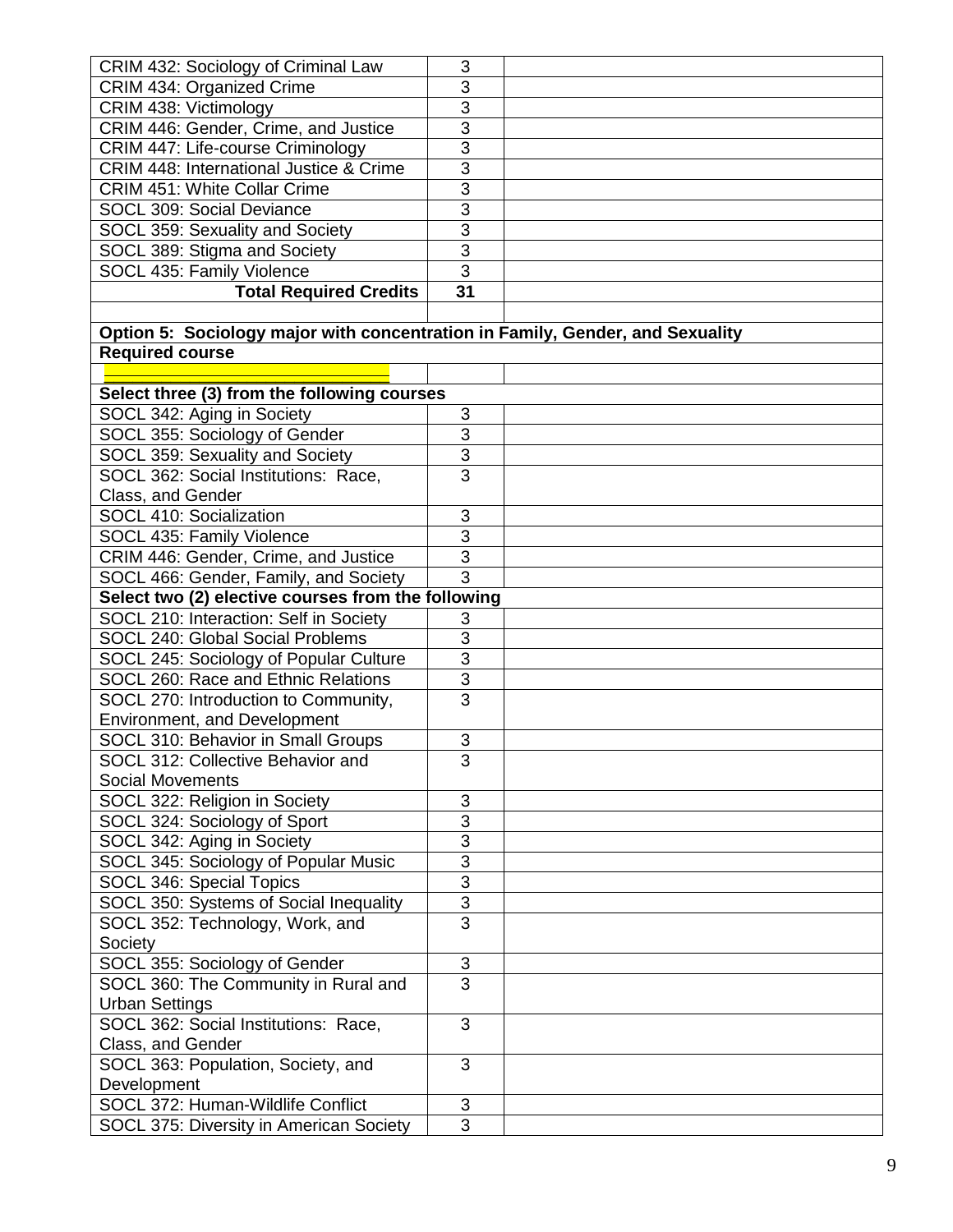| CRIM 432: Sociology of Criminal Law                                           | 3              |  |
|-------------------------------------------------------------------------------|----------------|--|
| CRIM 434: Organized Crime                                                     | 3              |  |
| CRIM 438: Victimology                                                         | $\overline{3}$ |  |
| CRIM 446: Gender, Crime, and Justice                                          | 3              |  |
| CRIM 447: Life-course Criminology                                             | $\overline{3}$ |  |
| <b>CRIM 448: International Justice &amp; Crime</b>                            | $\overline{3}$ |  |
| <b>CRIM 451: White Collar Crime</b>                                           | $\overline{3}$ |  |
| SOCL 309: Social Deviance                                                     | 3              |  |
| SOCL 359: Sexuality and Society                                               | $\overline{3}$ |  |
| SOCL 389: Stigma and Society                                                  | 3              |  |
| SOCL 435: Family Violence                                                     | $\overline{3}$ |  |
| <b>Total Required Credits</b>                                                 | 31             |  |
|                                                                               |                |  |
| Option 5: Sociology major with concentration in Family, Gender, and Sexuality |                |  |
| <b>Required course</b>                                                        |                |  |
|                                                                               |                |  |
| Select three (3) from the following courses                                   |                |  |
| SOCL 342: Aging in Society                                                    | 3              |  |
| SOCL 355: Sociology of Gender                                                 | 3              |  |
| SOCL 359: Sexuality and Society                                               | 3              |  |
| SOCL 362: Social Institutions: Race,                                          | 3              |  |
| Class, and Gender                                                             |                |  |
| SOCL 410: Socialization                                                       | 3              |  |
| SOCL 435: Family Violence                                                     | 3              |  |
| CRIM 446: Gender, Crime, and Justice                                          | $\overline{3}$ |  |
| SOCL 466: Gender, Family, and Society                                         | $\overline{3}$ |  |
| Select two (2) elective courses from the following                            |                |  |
| SOCL 210: Interaction: Self in Society                                        | 3              |  |
| SOCL 240: Global Social Problems                                              | $\overline{3}$ |  |
| SOCL 245: Sociology of Popular Culture                                        | 3              |  |
| SOCL 260: Race and Ethnic Relations                                           | 3              |  |
| SOCL 270: Introduction to Community,                                          | $\overline{3}$ |  |
| Environment, and Development                                                  |                |  |
| SOCL 310: Behavior in Small Groups                                            | 3              |  |
| SOCL 312: Collective Behavior and                                             | 3              |  |
| <b>Social Movements</b>                                                       |                |  |
| SOCL 322: Religion in Society                                                 | 3              |  |
| SOCL 324: Sociology of Sport                                                  | 3              |  |
| SOCL 342: Aging in Society                                                    | $\overline{3}$ |  |
| SOCL 345: Sociology of Popular Music                                          | $\overline{3}$ |  |
| SOCL 346: Special Topics                                                      | $\overline{3}$ |  |
| SOCL 350: Systems of Social Inequality                                        | 3              |  |
| SOCL 352: Technology, Work, and                                               | $\overline{3}$ |  |
| Society                                                                       |                |  |
| SOCL 355: Sociology of Gender                                                 | $\sqrt{3}$     |  |
| SOCL 360: The Community in Rural and                                          | $\overline{3}$ |  |
| <b>Urban Settings</b>                                                         |                |  |
| SOCL 362: Social Institutions: Race,                                          | 3              |  |
| Class, and Gender                                                             |                |  |
| SOCL 363: Population, Society, and                                            | 3              |  |
| Development                                                                   |                |  |
| SOCL 372: Human-Wildlife Conflict                                             | $\mathfrak{B}$ |  |
| SOCL 375: Diversity in American Society                                       | $\overline{3}$ |  |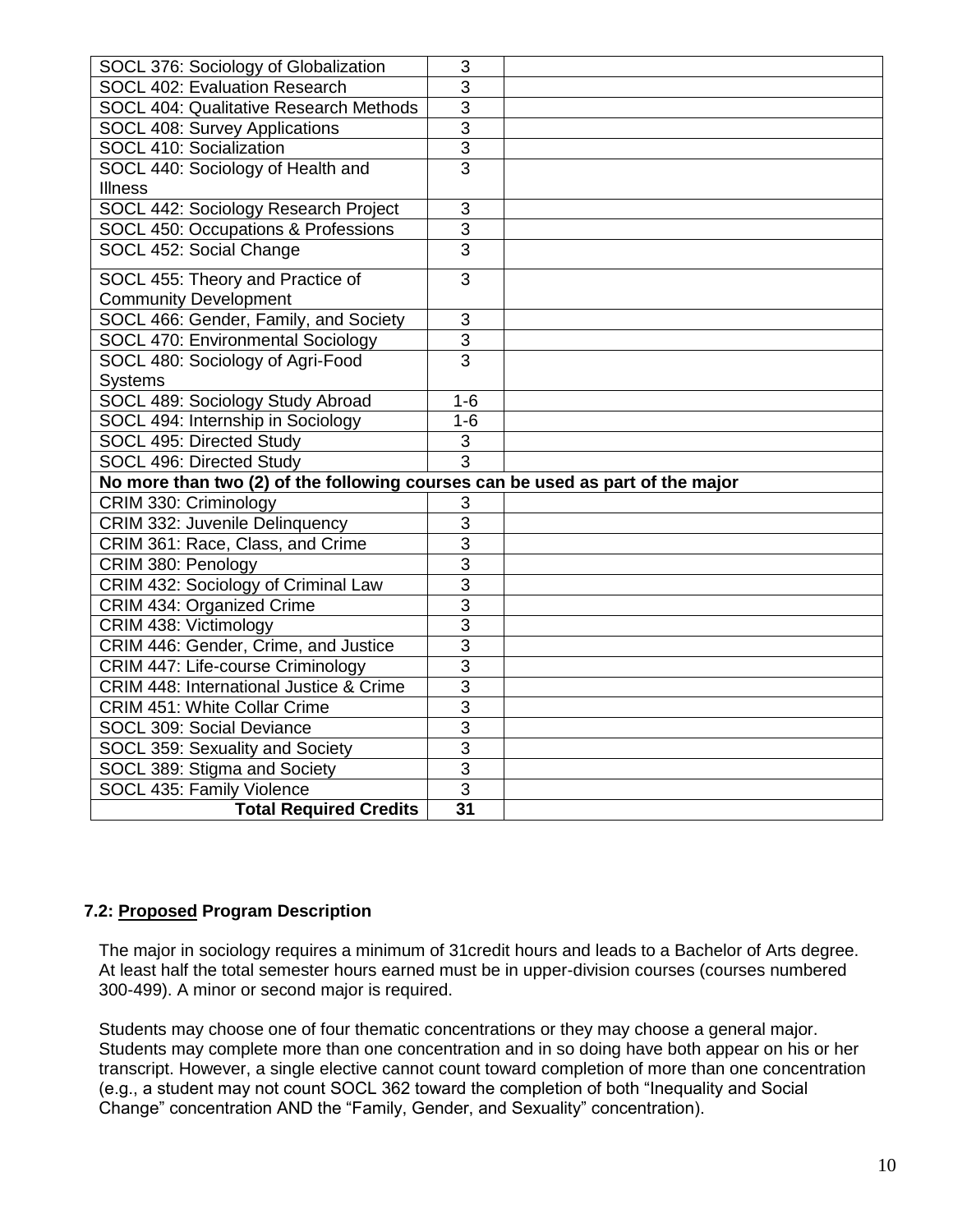| SOCL 376: Sociology of Globalization                                           | 3              |  |
|--------------------------------------------------------------------------------|----------------|--|
| SOCL 402: Evaluation Research                                                  | $\overline{3}$ |  |
| <b>SOCL 404: Qualitative Research Methods</b>                                  | $\overline{3}$ |  |
| <b>SOCL 408: Survey Applications</b>                                           | $\overline{3}$ |  |
| SOCL 410: Socialization                                                        | $\overline{3}$ |  |
| SOCL 440: Sociology of Health and                                              | $\overline{3}$ |  |
| <b>Illness</b>                                                                 |                |  |
| SOCL 442: Sociology Research Project                                           | $\mathsf 3$    |  |
| SOCL 450: Occupations & Professions                                            | $\overline{3}$ |  |
| SOCL 452: Social Change                                                        | $\overline{3}$ |  |
| SOCL 455: Theory and Practice of                                               | 3              |  |
| <b>Community Development</b>                                                   |                |  |
| SOCL 466: Gender, Family, and Society                                          | 3              |  |
| SOCL 470: Environmental Sociology                                              | $\overline{3}$ |  |
| SOCL 480: Sociology of Agri-Food                                               | $\overline{3}$ |  |
| <b>Systems</b>                                                                 |                |  |
| SOCL 489: Sociology Study Abroad                                               | $1 - 6$        |  |
| SOCL 494: Internship in Sociology                                              | $1-6$          |  |
| SOCL 495: Directed Study                                                       | 3              |  |
| SOCL 496: Directed Study                                                       | $\overline{3}$ |  |
| No more than two (2) of the following courses can be used as part of the major |                |  |
| CRIM 330: Criminology                                                          | 3              |  |
| CRIM 332: Juvenile Delinquency                                                 | 3              |  |
| CRIM 361: Race, Class, and Crime                                               | $\overline{3}$ |  |
| CRIM 380: Penology                                                             | $\overline{3}$ |  |
| CRIM 432: Sociology of Criminal Law                                            | $\overline{3}$ |  |
| <b>CRIM 434: Organized Crime</b>                                               | $\overline{3}$ |  |
| CRIM 438: Victimology                                                          | 3              |  |
| CRIM 446: Gender, Crime, and Justice                                           | $\overline{3}$ |  |
| CRIM 447: Life-course Criminology                                              | $\overline{3}$ |  |
| CRIM 448: International Justice & Crime                                        | $\overline{3}$ |  |
| <b>CRIM 451: White Collar Crime</b>                                            | $\overline{3}$ |  |
| SOCL 309: Social Deviance                                                      | $\overline{3}$ |  |
| SOCL 359: Sexuality and Society                                                | 3              |  |
| SOCL 389: Stigma and Society                                                   | $\overline{3}$ |  |
| SOCL 435: Family Violence                                                      | $\overline{3}$ |  |
| <b>Total Required Credits</b>                                                  | 31             |  |

#### **7.2: Proposed Program Description**

The major in sociology requires a minimum of 31credit hours and leads to a Bachelor of Arts degree. At least half the total semester hours earned must be in upper-division courses (courses numbered 300-499). A minor or second major is required.

Students may choose one of four thematic concentrations or they may choose a general major. Students may complete more than one concentration and in so doing have both appear on his or her transcript. However, a single elective cannot count toward completion of more than one concentration (e.g., a student may not count SOCL 362 toward the completion of both "Inequality and Social Change" concentration AND the "Family, Gender, and Sexuality" concentration).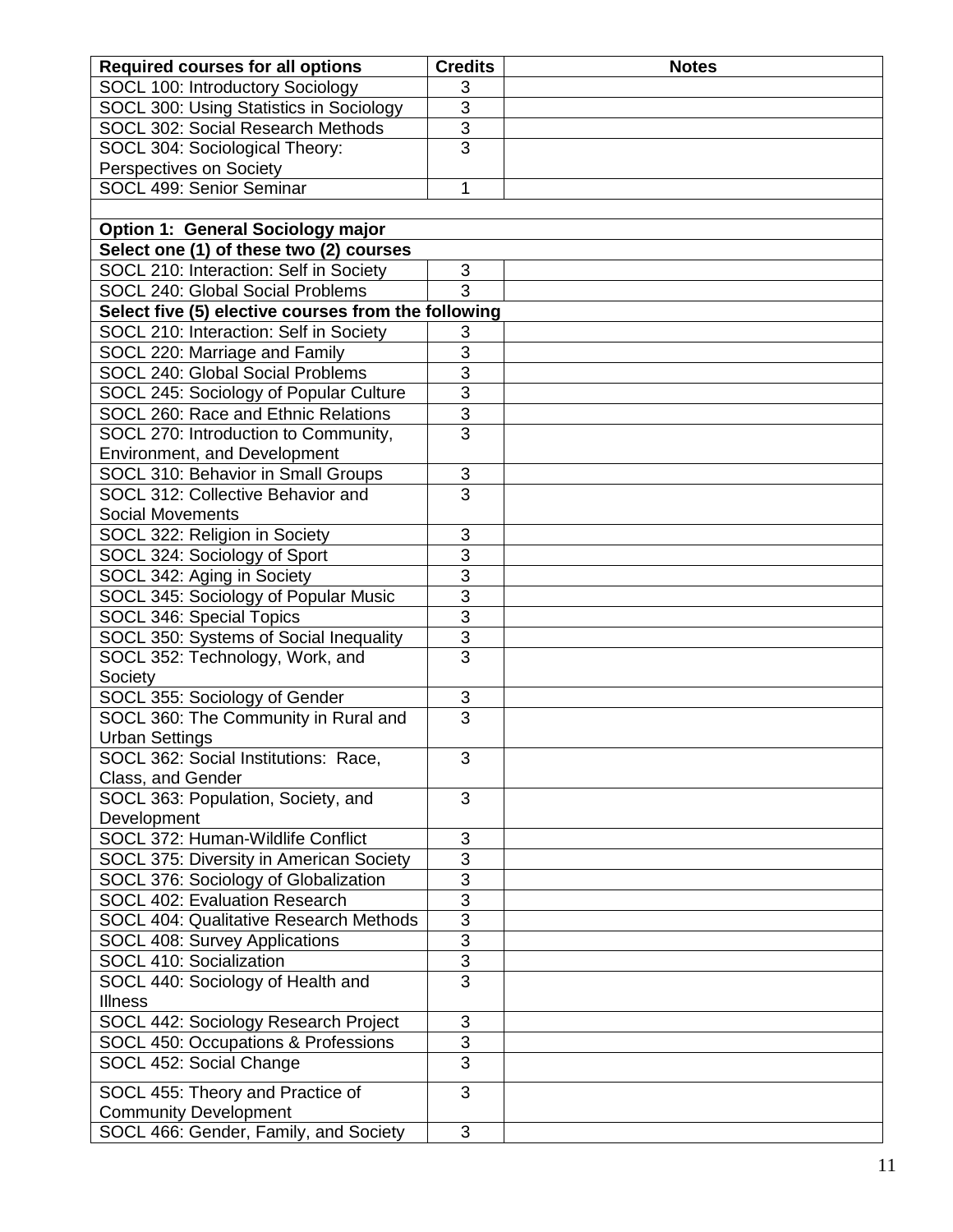| <b>Required courses for all options</b>             | <b>Credits</b> | <b>Notes</b> |
|-----------------------------------------------------|----------------|--------------|
| <b>SOCL 100: Introductory Sociology</b>             | 3              |              |
| SOCL 300: Using Statistics in Sociology             | 3              |              |
| SOCL 302: Social Research Methods                   | 3              |              |
| SOCL 304: Sociological Theory:                      | $\overline{3}$ |              |
| Perspectives on Society                             |                |              |
| SOCL 499: Senior Seminar                            | 1              |              |
|                                                     |                |              |
| <b>Option 1: General Sociology major</b>            |                |              |
| Select one (1) of these two (2) courses             |                |              |
| SOCL 210: Interaction: Self in Society              | 3              |              |
| <b>SOCL 240: Global Social Problems</b>             | $\overline{3}$ |              |
| Select five (5) elective courses from the following |                |              |
| SOCL 210: Interaction: Self in Society              | 3              |              |
| SOCL 220: Marriage and Family                       | 3              |              |
| SOCL 240: Global Social Problems                    | $\overline{3}$ |              |
| SOCL 245: Sociology of Popular Culture              | $\overline{3}$ |              |
| SOCL 260: Race and Ethnic Relations                 | $\overline{3}$ |              |
| SOCL 270: Introduction to Community,                | $\overline{3}$ |              |
| Environment, and Development                        |                |              |
| SOCL 310: Behavior in Small Groups                  | 3              |              |
| SOCL 312: Collective Behavior and                   | $\overline{3}$ |              |
| <b>Social Movements</b>                             |                |              |
| SOCL 322: Religion in Society                       | 3              |              |
| SOCL 324: Sociology of Sport                        | 3              |              |
| SOCL 342: Aging in Society                          | 3              |              |
| SOCL 345: Sociology of Popular Music                | $\overline{3}$ |              |
| SOCL 346: Special Topics                            | $\overline{3}$ |              |
| SOCL 350: Systems of Social Inequality              | $\frac{3}{3}$  |              |
| SOCL 352: Technology, Work, and                     |                |              |
| Society                                             |                |              |
| SOCL 355: Sociology of Gender                       | $\mathbf{3}$   |              |
| SOCL 360: The Community in Rural and                | $\overline{3}$ |              |
| <b>Urban Settings</b>                               |                |              |
| SOCL 362: Social Institutions: Race,                | 3              |              |
| Class, and Gender                                   |                |              |
| SOCL 363: Population, Society, and                  | 3              |              |
| Development                                         |                |              |
| SOCL 372: Human-Wildlife Conflict                   | 3              |              |
| SOCL 375: Diversity in American Society             | $\overline{3}$ |              |
| SOCL 376: Sociology of Globalization                | 3              |              |
| <b>SOCL 402: Evaluation Research</b>                | $\overline{3}$ |              |
| <b>SOCL 404: Qualitative Research Methods</b>       | 3              |              |
| SOCL 408: Survey Applications                       | $\overline{3}$ |              |
| SOCL 410: Socialization                             | $\overline{3}$ |              |
| SOCL 440: Sociology of Health and                   | $\overline{3}$ |              |
| Illness                                             |                |              |
| SOCL 442: Sociology Research Project                | 3              |              |
| SOCL 450: Occupations & Professions                 | 3              |              |
| SOCL 452: Social Change                             | 3              |              |
| SOCL 455: Theory and Practice of                    | $\overline{3}$ |              |
| <b>Community Development</b>                        |                |              |
| SOCL 466: Gender, Family, and Society               | 3              |              |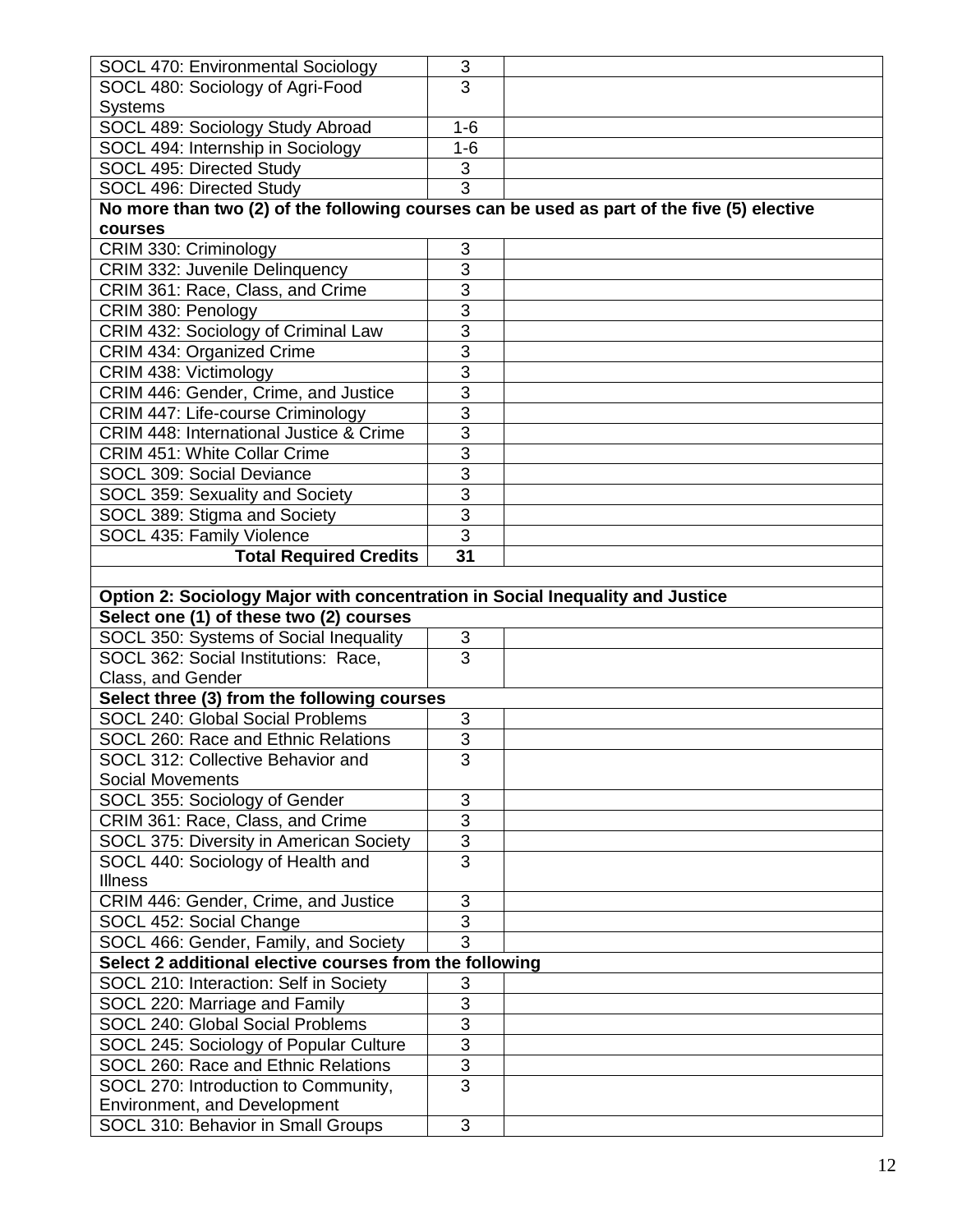| SOCL 470: Environmental Sociology                                                          | 3                                |  |
|--------------------------------------------------------------------------------------------|----------------------------------|--|
| SOCL 480: Sociology of Agri-Food                                                           | 3                                |  |
| <b>Systems</b>                                                                             |                                  |  |
| SOCL 489: Sociology Study Abroad                                                           | $1 - 6$                          |  |
| SOCL 494: Internship in Sociology                                                          | $1-6$                            |  |
| SOCL 495: Directed Study                                                                   | 3                                |  |
| SOCL 496: Directed Study                                                                   | $\overline{3}$                   |  |
| No more than two (2) of the following courses can be used as part of the five (5) elective |                                  |  |
| courses                                                                                    |                                  |  |
| CRIM 330: Criminology                                                                      | 3                                |  |
| CRIM 332: Juvenile Delinquency                                                             | $\overline{3}$                   |  |
| CRIM 361: Race, Class, and Crime                                                           | $\overline{3}$                   |  |
| CRIM 380: Penology                                                                         | $\overline{3}$                   |  |
| CRIM 432: Sociology of Criminal Law                                                        | $\overline{3}$                   |  |
| CRIM 434: Organized Crime                                                                  | $\overline{3}$                   |  |
| CRIM 438: Victimology                                                                      | $\overline{3}$                   |  |
| CRIM 446: Gender, Crime, and Justice                                                       | $\overline{3}$                   |  |
| CRIM 447: Life-course Criminology                                                          | $\overline{3}$                   |  |
| CRIM 448: International Justice & Crime                                                    | $\overline{3}$                   |  |
| <b>CRIM 451: White Collar Crime</b>                                                        | $\overline{3}$                   |  |
| SOCL 309: Social Deviance                                                                  | $\overline{3}$                   |  |
| SOCL 359: Sexuality and Society                                                            | $\overline{3}$                   |  |
| SOCL 389: Stigma and Society                                                               | $\overline{3}$                   |  |
| SOCL 435: Family Violence                                                                  | $\overline{3}$                   |  |
| <b>Total Required Credits</b>                                                              | 31                               |  |
|                                                                                            |                                  |  |
| Option 2: Sociology Major with concentration in Social Inequality and Justice              |                                  |  |
|                                                                                            |                                  |  |
|                                                                                            |                                  |  |
| Select one (1) of these two (2) courses                                                    |                                  |  |
| SOCL 350: Systems of Social Inequality                                                     | 3<br>$\overline{3}$              |  |
| SOCL 362: Social Institutions: Race,                                                       |                                  |  |
| Class, and Gender                                                                          |                                  |  |
| Select three (3) from the following courses<br>SOCL 240: Global Social Problems            |                                  |  |
|                                                                                            | 3                                |  |
| SOCL 260: Race and Ethnic Relations                                                        | $\overline{3}$                   |  |
| SOCL 312: Collective Behavior and<br><b>Social Movements</b>                               | 3                                |  |
|                                                                                            | 3                                |  |
| SOCL 355: Sociology of Gender                                                              | $\overline{3}$                   |  |
| CRIM 361: Race, Class, and Crime                                                           |                                  |  |
| SOCL 375: Diversity in American Society<br>SOCL 440: Sociology of Health and               | $\overline{3}$<br>$\overline{3}$ |  |
| <b>Illness</b>                                                                             |                                  |  |
| CRIM 446: Gender, Crime, and Justice                                                       | 3                                |  |
| SOCL 452: Social Change                                                                    | $\overline{3}$                   |  |
| SOCL 466: Gender, Family, and Society                                                      | $\overline{3}$                   |  |
| Select 2 additional elective courses from the following                                    |                                  |  |
| SOCL 210: Interaction: Self in Society                                                     | 3                                |  |
| SOCL 220: Marriage and Family                                                              | 3                                |  |
| SOCL 240: Global Social Problems                                                           | $\overline{3}$                   |  |
| SOCL 245: Sociology of Popular Culture                                                     | $\overline{3}$                   |  |
| SOCL 260: Race and Ethnic Relations                                                        | $\overline{3}$                   |  |
| SOCL 270: Introduction to Community,                                                       | $\overline{3}$                   |  |
| Environment, and Development                                                               | 3                                |  |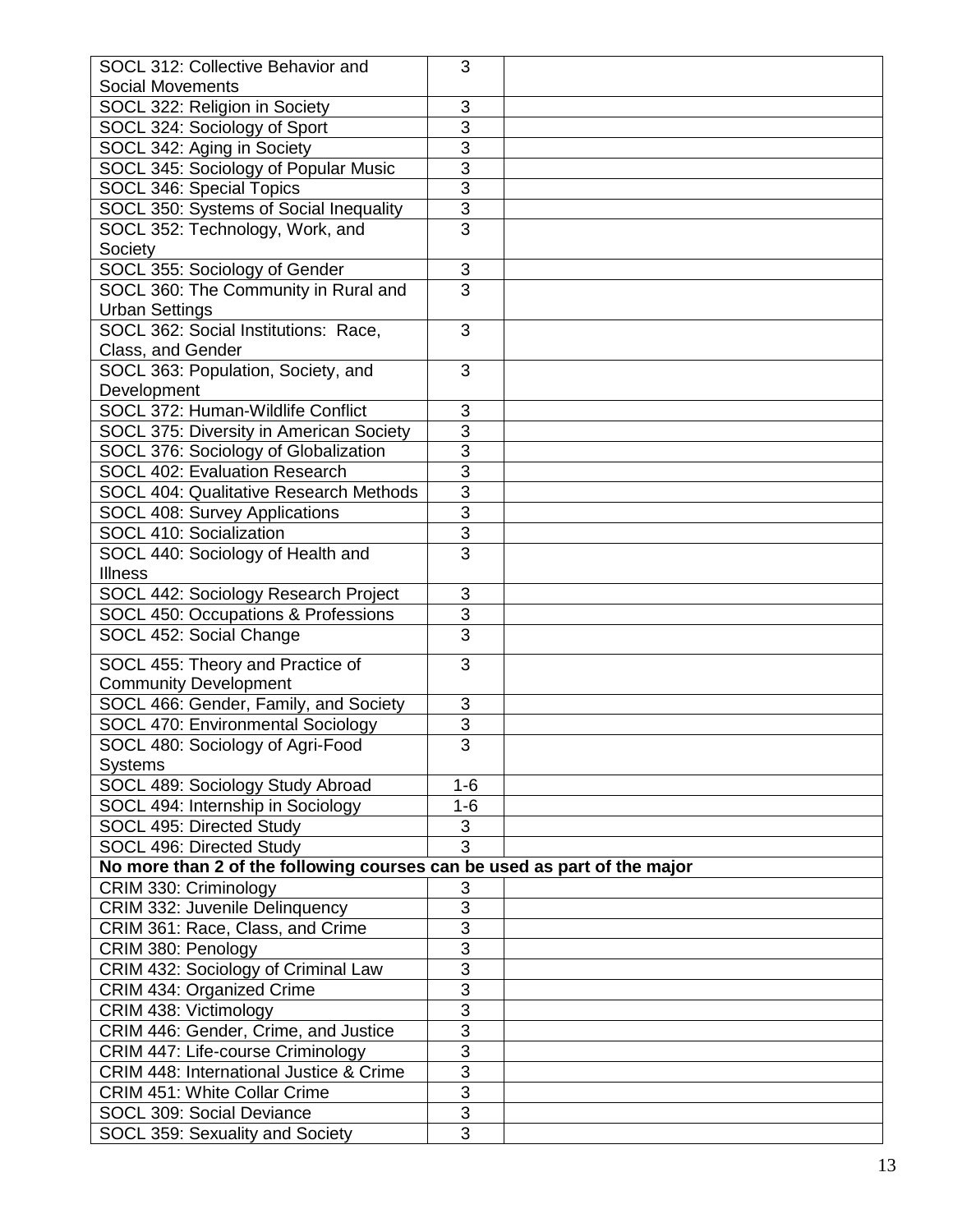| SOCL 312: Collective Behavior and                                        | 3              |  |
|--------------------------------------------------------------------------|----------------|--|
| <b>Social Movements</b>                                                  |                |  |
| SOCL 322: Religion in Society                                            | 3              |  |
| SOCL 324: Sociology of Sport                                             | $\overline{3}$ |  |
| SOCL 342: Aging in Society                                               | $\overline{3}$ |  |
| SOCL 345: Sociology of Popular Music                                     | $\overline{3}$ |  |
| <b>SOCL 346: Special Topics</b>                                          | $\overline{3}$ |  |
| SOCL 350: Systems of Social Inequality                                   | 3              |  |
| SOCL 352: Technology, Work, and                                          | $\overline{3}$ |  |
| Society                                                                  |                |  |
| SOCL 355: Sociology of Gender                                            | $\mathsf 3$    |  |
| SOCL 360: The Community in Rural and                                     | $\overline{3}$ |  |
| <b>Urban Settings</b>                                                    |                |  |
| SOCL 362: Social Institutions: Race,                                     | $\overline{3}$ |  |
| Class, and Gender                                                        |                |  |
| SOCL 363: Population, Society, and                                       | 3              |  |
| Development                                                              |                |  |
| SOCL 372: Human-Wildlife Conflict                                        | 3              |  |
| SOCL 375: Diversity in American Society                                  | 3              |  |
| SOCL 376: Sociology of Globalization                                     | 3              |  |
| SOCL 402: Evaluation Research                                            | 3              |  |
| <b>SOCL 404: Qualitative Research Methods</b>                            | $\overline{3}$ |  |
| SOCL 408: Survey Applications                                            | $\overline{3}$ |  |
| SOCL 410: Socialization                                                  | 3              |  |
| SOCL 440: Sociology of Health and                                        | $\overline{3}$ |  |
| <b>Illness</b>                                                           |                |  |
| SOCL 442: Sociology Research Project                                     | 3              |  |
| SOCL 450: Occupations & Professions                                      | $\overline{3}$ |  |
| SOCL 452: Social Change                                                  | $\overline{3}$ |  |
|                                                                          |                |  |
| SOCL 455: Theory and Practice of                                         | 3              |  |
| <b>Community Development</b>                                             |                |  |
| SOCL 466: Gender, Family, and Society                                    | 3              |  |
| SOCL 470: Environmental Sociology                                        | 3              |  |
| SOCL 480: Sociology of Agri-Food                                         | $\overline{3}$ |  |
| <b>Systems</b>                                                           |                |  |
| SOCL 489: Sociology Study Abroad                                         | $1 - 6$        |  |
| SOCL 494: Internship in Sociology                                        | $1 - 6$        |  |
| SOCL 495: Directed Study                                                 | $\sqrt{3}$     |  |
| SOCL 496: Directed Study                                                 | $\overline{3}$ |  |
| No more than 2 of the following courses can be used as part of the major |                |  |
| CRIM 330: Criminology                                                    | 3              |  |
| CRIM 332: Juvenile Delinquency                                           | $\overline{3}$ |  |
| CRIM 361: Race, Class, and Crime                                         | 3              |  |
| CRIM 380: Penology                                                       | 3              |  |
| CRIM 432: Sociology of Criminal Law                                      | $\overline{3}$ |  |
| CRIM 434: Organized Crime                                                | $\overline{3}$ |  |
| CRIM 438: Victimology                                                    | $\overline{3}$ |  |
| CRIM 446: Gender, Crime, and Justice                                     | $\overline{3}$ |  |
| CRIM 447: Life-course Criminology                                        | $\overline{3}$ |  |
| <b>CRIM 448: International Justice &amp; Crime</b>                       | $\overline{3}$ |  |
| <b>CRIM 451: White Collar Crime</b>                                      | $\overline{3}$ |  |
| SOCL 309: Social Deviance                                                | $\overline{3}$ |  |
| SOCL 359: Sexuality and Society                                          | 3              |  |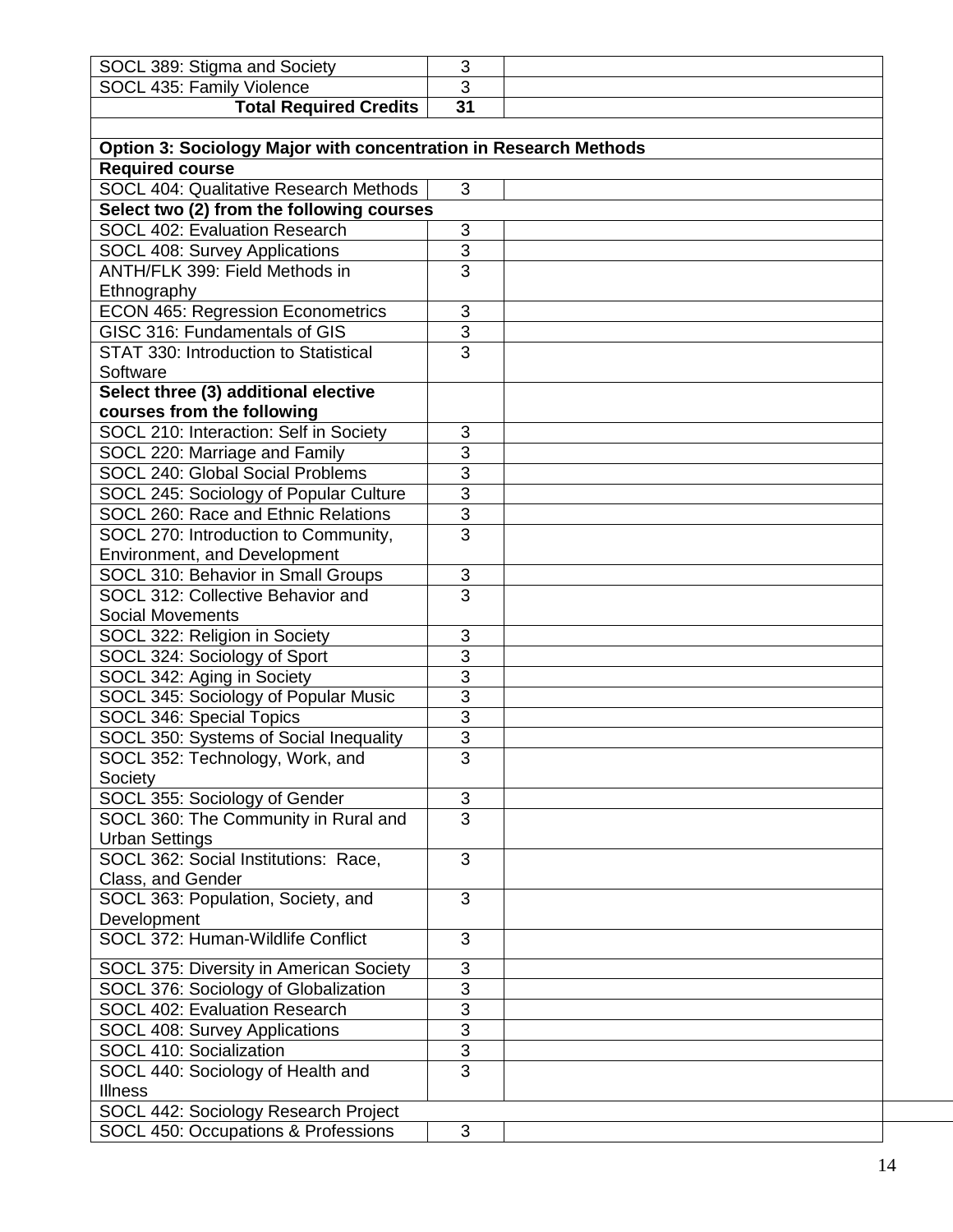| SOCL 389: Stigma and Society                                     | 3                         |  |
|------------------------------------------------------------------|---------------------------|--|
| SOCL 435: Family Violence                                        | 3                         |  |
| <b>Total Required Credits</b>                                    | $\overline{31}$           |  |
|                                                                  |                           |  |
| Option 3: Sociology Major with concentration in Research Methods |                           |  |
| <b>Required course</b>                                           |                           |  |
| SOCL 404: Qualitative Research Methods                           | 3                         |  |
|                                                                  |                           |  |
| Select two (2) from the following courses                        |                           |  |
| SOCL 402: Evaluation Research                                    | 3<br>$\overline{3}$       |  |
| <b>SOCL 408: Survey Applications</b>                             | $\overline{3}$            |  |
| ANTH/FLK 399: Field Methods in                                   |                           |  |
| Ethnography                                                      |                           |  |
| <b>ECON 465: Regression Econometrics</b>                         | 3                         |  |
| GISC 316: Fundamentals of GIS                                    | $\overline{3}$            |  |
| STAT 330: Introduction to Statistical                            | $\overline{3}$            |  |
| Software                                                         |                           |  |
| Select three (3) additional elective                             |                           |  |
| courses from the following                                       |                           |  |
| SOCL 210: Interaction: Self in Society                           | 3                         |  |
| SOCL 220: Marriage and Family                                    | $\overline{3}$            |  |
| SOCL 240: Global Social Problems                                 | $\overline{3}$            |  |
| SOCL 245: Sociology of Popular Culture                           | $\overline{3}$            |  |
| SOCL 260: Race and Ethnic Relations                              | $\overline{3}$            |  |
| SOCL 270: Introduction to Community,                             | $\overline{3}$            |  |
| Environment, and Development                                     |                           |  |
| SOCL 310: Behavior in Small Groups                               | $\sqrt{3}$                |  |
| SOCL 312: Collective Behavior and                                | $\overline{3}$            |  |
| <b>Social Movements</b>                                          |                           |  |
| SOCL 322: Religion in Society                                    | 3                         |  |
| SOCL 324: Sociology of Sport                                     | 3                         |  |
| SOCL 342: Aging in Society                                       | $\overline{3}$            |  |
| SOCL 345: Sociology of Popular Music                             | $\overline{3}$            |  |
| SOCL 346: Special Topics                                         | $\overline{3}$            |  |
| SOCL 350: Systems of Social Inequality                           | $\overline{3}$            |  |
| SOCL 352: Technology, Work, and                                  | 3                         |  |
| Society                                                          |                           |  |
| SOCL 355: Sociology of Gender                                    | 3                         |  |
| SOCL 360: The Community in Rural and                             | $\overline{3}$            |  |
| <b>Urban Settings</b>                                            |                           |  |
| SOCL 362: Social Institutions: Race,                             | 3                         |  |
| Class, and Gender                                                |                           |  |
| SOCL 363: Population, Society, and                               | 3                         |  |
| Development                                                      |                           |  |
| SOCL 372: Human-Wildlife Conflict                                | 3                         |  |
| SOCL 375: Diversity in American Society                          | $\mathsf 3$               |  |
| SOCL 376: Sociology of Globalization                             | $\ensuremath{\mathsf{3}}$ |  |
| SOCL 402: Evaluation Research                                    | 3                         |  |
| SOCL 408: Survey Applications                                    | 3                         |  |
| SOCL 410: Socialization                                          | $\overline{3}$            |  |
| SOCL 440: Sociology of Health and                                | $\overline{3}$            |  |
| <b>Illness</b>                                                   |                           |  |
| SOCL 442: Sociology Research Project                             |                           |  |
| SOCL 450: Occupations & Professions                              | 3                         |  |
|                                                                  |                           |  |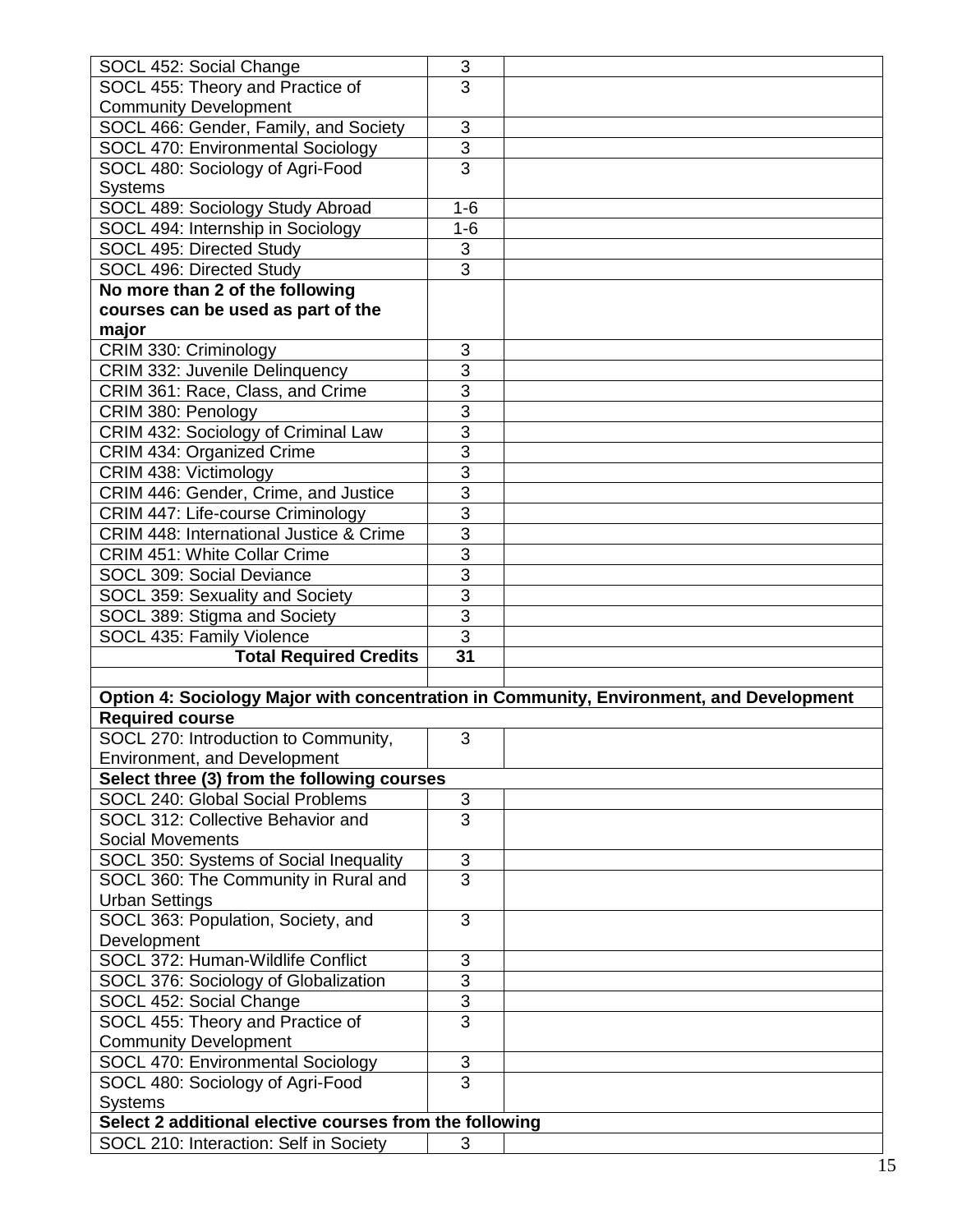| SOCL 452: Social Change                                 | 3                         |                                                                                         |
|---------------------------------------------------------|---------------------------|-----------------------------------------------------------------------------------------|
| SOCL 455: Theory and Practice of                        | 3                         |                                                                                         |
| <b>Community Development</b>                            |                           |                                                                                         |
|                                                         |                           |                                                                                         |
| SOCL 466: Gender, Family, and Society                   | 3                         |                                                                                         |
| SOCL 470: Environmental Sociology                       | $\overline{3}$            |                                                                                         |
| SOCL 480: Sociology of Agri-Food                        | $\overline{3}$            |                                                                                         |
| <b>Systems</b>                                          |                           |                                                                                         |
| SOCL 489: Sociology Study Abroad                        | $1 - 6$                   |                                                                                         |
| SOCL 494: Internship in Sociology                       | $1-6$                     |                                                                                         |
| <b>SOCL 495: Directed Study</b>                         | $\overline{3}$            |                                                                                         |
| SOCL 496: Directed Study                                | $\overline{3}$            |                                                                                         |
| No more than 2 of the following                         |                           |                                                                                         |
| courses can be used as part of the                      |                           |                                                                                         |
| major                                                   |                           |                                                                                         |
| CRIM 330: Criminology                                   | 3                         |                                                                                         |
| CRIM 332: Juvenile Delinquency                          | $\overline{3}$            |                                                                                         |
|                                                         | $\overline{3}$            |                                                                                         |
| CRIM 361: Race, Class, and Crime                        |                           |                                                                                         |
| CRIM 380: Penology                                      | $\overline{3}$            |                                                                                         |
| CRIM 432: Sociology of Criminal Law                     | 3                         |                                                                                         |
| CRIM 434: Organized Crime                               | $\overline{3}$            |                                                                                         |
| CRIM 438: Victimology                                   | 3                         |                                                                                         |
| CRIM 446: Gender, Crime, and Justice                    | $\overline{3}$            |                                                                                         |
| <b>CRIM 447: Life-course Criminology</b>                | $\overline{3}$            |                                                                                         |
| CRIM 448: International Justice & Crime                 | $\overline{3}$            |                                                                                         |
| <b>CRIM 451: White Collar Crime</b>                     | 3                         |                                                                                         |
| SOCL 309: Social Deviance                               | $\overline{3}$            |                                                                                         |
| SOCL 359: Sexuality and Society                         | $\overline{3}$            |                                                                                         |
|                                                         |                           |                                                                                         |
|                                                         |                           |                                                                                         |
| SOCL 389: Stigma and Society                            | $\overline{3}$            |                                                                                         |
| SOCL 435: Family Violence                               | $\overline{3}$            |                                                                                         |
| <b>Total Required Credits</b>                           | 31                        |                                                                                         |
|                                                         |                           |                                                                                         |
|                                                         |                           | Option 4: Sociology Major with concentration in Community, Environment, and Development |
| <b>Required course</b>                                  |                           |                                                                                         |
| SOCL 270: Introduction to Community,                    | 3                         |                                                                                         |
| Environment, and Development                            |                           |                                                                                         |
| Select three (3) from the following courses             |                           |                                                                                         |
| SOCL 240: Global Social Problems                        | 3                         |                                                                                         |
| SOCL 312: Collective Behavior and                       | 3                         |                                                                                         |
| <b>Social Movements</b>                                 |                           |                                                                                         |
|                                                         |                           |                                                                                         |
| SOCL 350: Systems of Social Inequality                  | $\ensuremath{\mathsf{3}}$ |                                                                                         |
| SOCL 360: The Community in Rural and                    | $\overline{3}$            |                                                                                         |
| <b>Urban Settings</b>                                   |                           |                                                                                         |
| SOCL 363: Population, Society, and                      | 3                         |                                                                                         |
| Development                                             |                           |                                                                                         |
| SOCL 372: Human-Wildlife Conflict                       | $\sqrt{3}$                |                                                                                         |
| SOCL 376: Sociology of Globalization                    | $\overline{3}$            |                                                                                         |
| SOCL 452: Social Change                                 | 3                         |                                                                                         |
| SOCL 455: Theory and Practice of                        | $\overline{3}$            |                                                                                         |
| <b>Community Development</b>                            |                           |                                                                                         |
| SOCL 470: Environmental Sociology                       | $\mathsf 3$               |                                                                                         |
| SOCL 480: Sociology of Agri-Food                        | $\overline{3}$            |                                                                                         |
| <b>Systems</b>                                          |                           |                                                                                         |
| Select 2 additional elective courses from the following |                           |                                                                                         |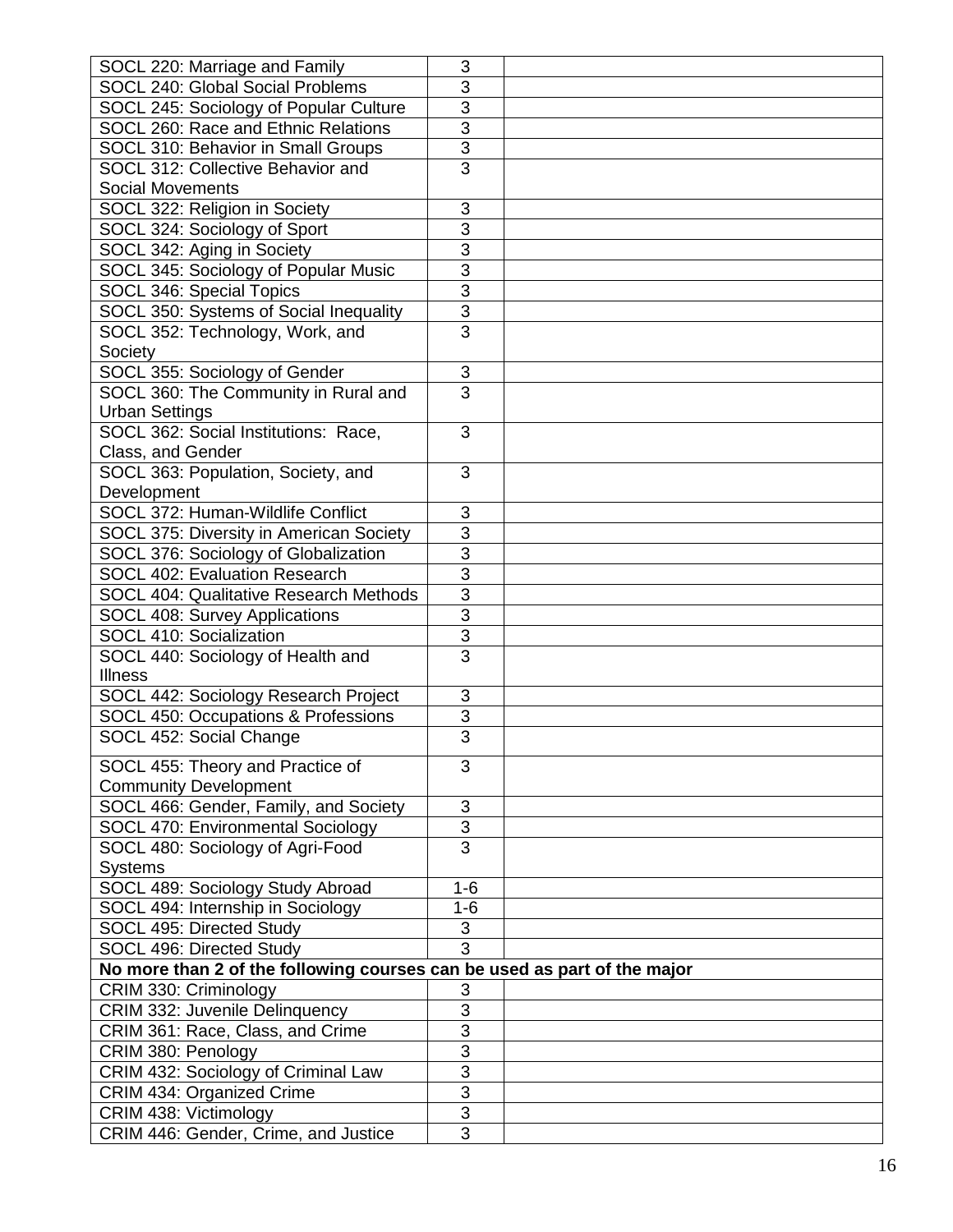| SOCL 220: Marriage and Family                                            | 3                         |  |
|--------------------------------------------------------------------------|---------------------------|--|
| SOCL 240: Global Social Problems                                         | $\overline{3}$            |  |
| SOCL 245: Sociology of Popular Culture                                   | $\overline{3}$            |  |
| SOCL 260: Race and Ethnic Relations                                      | $\overline{3}$            |  |
| SOCL 310: Behavior in Small Groups                                       | $\overline{3}$            |  |
| SOCL 312: Collective Behavior and                                        | $\overline{3}$            |  |
| <b>Social Movements</b>                                                  |                           |  |
| SOCL 322: Religion in Society                                            | 3                         |  |
| SOCL 324: Sociology of Sport                                             | 3                         |  |
| SOCL 342: Aging in Society                                               | $\overline{3}$            |  |
| SOCL 345: Sociology of Popular Music                                     | $\overline{3}$            |  |
| SOCL 346: Special Topics                                                 | $\overline{3}$            |  |
| SOCL 350: Systems of Social Inequality                                   | $\overline{3}$            |  |
| SOCL 352: Technology, Work, and                                          | 3                         |  |
| Society                                                                  |                           |  |
| SOCL 355: Sociology of Gender                                            | $\ensuremath{\mathsf{3}}$ |  |
| SOCL 360: The Community in Rural and                                     | $\overline{3}$            |  |
|                                                                          |                           |  |
| <b>Urban Settings</b><br>SOCL 362: Social Institutions: Race,            | 3                         |  |
| Class, and Gender                                                        |                           |  |
|                                                                          | 3                         |  |
| SOCL 363: Population, Society, and                                       |                           |  |
| Development<br>SOCL 372: Human-Wildlife Conflict                         | 3                         |  |
|                                                                          | $\overline{3}$            |  |
| SOCL 375: Diversity in American Society                                  | $\overline{3}$            |  |
| SOCL 376: Sociology of Globalization                                     |                           |  |
| SOCL 402: Evaluation Research                                            | $\overline{3}$            |  |
| <b>SOCL 404: Qualitative Research Methods</b>                            | $\overline{3}$            |  |
| SOCL 408: Survey Applications                                            | $\overline{3}$            |  |
| SOCL 410: Socialization                                                  | $\overline{3}$            |  |
| SOCL 440: Sociology of Health and                                        | $\overline{3}$            |  |
| <b>Illness</b>                                                           |                           |  |
| SOCL 442: Sociology Research Project                                     | 3                         |  |
| SOCL 450: Occupations & Professions                                      | 3                         |  |
| SOCL 452: Social Change                                                  | $\overline{3}$            |  |
| SOCL 455: Theory and Practice of                                         | 3                         |  |
| <b>Community Development</b>                                             |                           |  |
| SOCL 466: Gender, Family, and Society                                    | $\sqrt{3}$                |  |
| SOCL 470: Environmental Sociology                                        | $\overline{3}$            |  |
| SOCL 480: Sociology of Agri-Food                                         | $\overline{3}$            |  |
| <b>Systems</b>                                                           |                           |  |
| SOCL 489: Sociology Study Abroad                                         | $1 - 6$                   |  |
| SOCL 494: Internship in Sociology                                        | $1 - 6$                   |  |
| SOCL 495: Directed Study                                                 | 3                         |  |
| SOCL 496: Directed Study                                                 | $\overline{3}$            |  |
| No more than 2 of the following courses can be used as part of the major |                           |  |
| CRIM 330: Criminology                                                    | 3                         |  |
| <b>CRIM 332: Juvenile Delinquency</b>                                    | $\overline{3}$            |  |
| CRIM 361: Race, Class, and Crime                                         | $\overline{3}$            |  |
| CRIM 380: Penology                                                       | $\overline{3}$            |  |
| CRIM 432: Sociology of Criminal Law                                      | $\overline{3}$            |  |
| CRIM 434: Organized Crime                                                | $\overline{3}$            |  |
| CRIM 438: Victimology                                                    | $\overline{3}$            |  |
| CRIM 446: Gender, Crime, and Justice                                     | $\overline{3}$            |  |
|                                                                          |                           |  |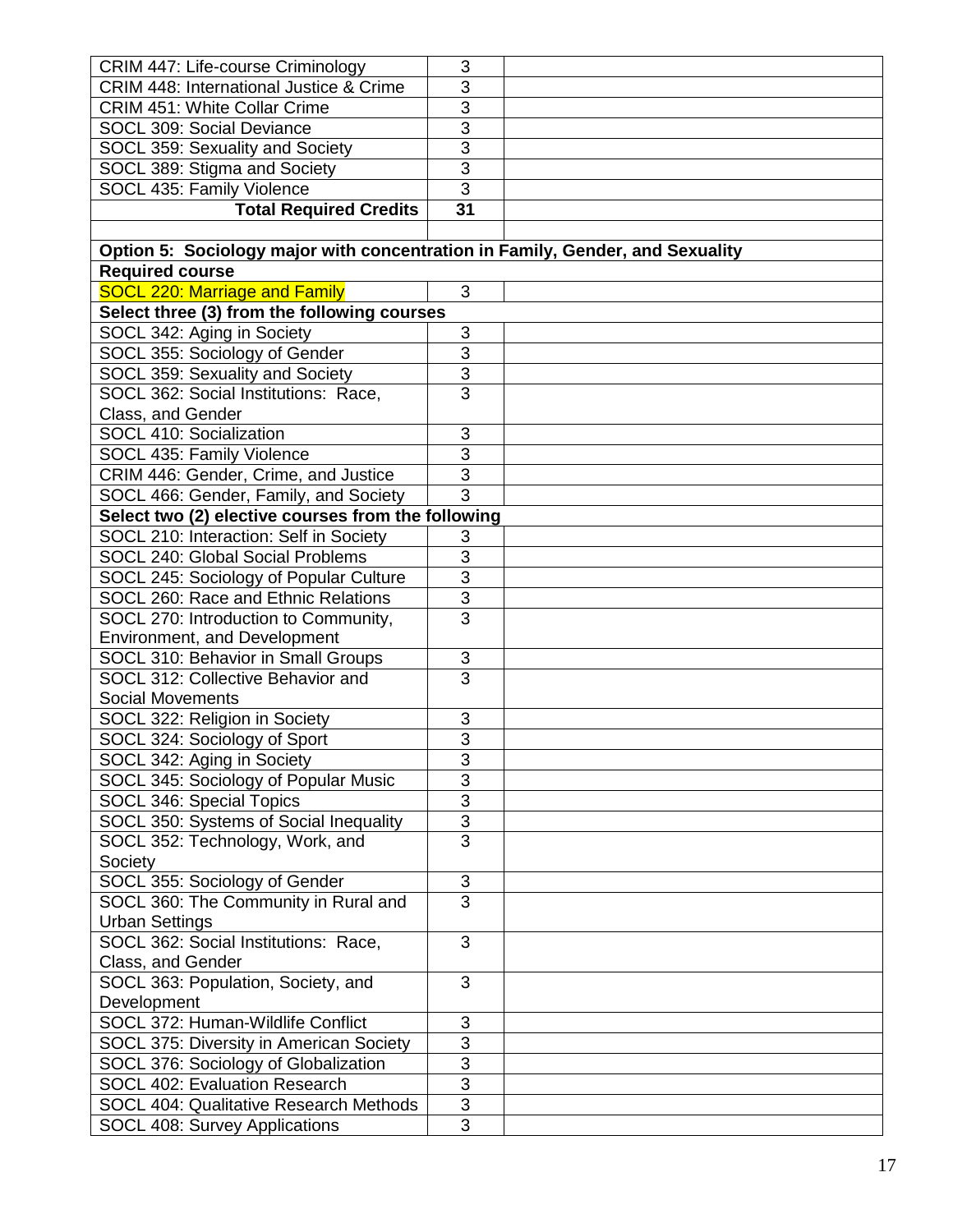| CRIM 447: Life-course Criminology                                             | 3                              |  |
|-------------------------------------------------------------------------------|--------------------------------|--|
| CRIM 448: International Justice & Crime                                       | 3                              |  |
| <b>CRIM 451: White Collar Crime</b>                                           | 3                              |  |
| SOCL 309: Social Deviance                                                     | 3                              |  |
| SOCL 359: Sexuality and Society                                               | $\overline{3}$                 |  |
| SOCL 389: Stigma and Society                                                  | $\overline{3}$                 |  |
| SOCL 435: Family Violence                                                     | $\overline{3}$                 |  |
| <b>Total Required Credits</b>                                                 | $\overline{31}$                |  |
|                                                                               |                                |  |
| Option 5: Sociology major with concentration in Family, Gender, and Sexuality |                                |  |
| <b>Required course</b>                                                        |                                |  |
| <b>SOCL 220: Marriage and Family</b>                                          | 3                              |  |
| Select three (3) from the following courses                                   |                                |  |
| SOCL 342: Aging in Society                                                    | 3                              |  |
| SOCL 355: Sociology of Gender                                                 | $\overline{3}$                 |  |
| SOCL 359: Sexuality and Society                                               | $\overline{3}$                 |  |
| SOCL 362: Social Institutions: Race,                                          | $\overline{3}$                 |  |
| Class, and Gender                                                             |                                |  |
| <b>SOCL 410: Socialization</b>                                                | 3                              |  |
| SOCL 435: Family Violence                                                     | 3                              |  |
| CRIM 446: Gender, Crime, and Justice                                          | $\overline{3}$                 |  |
| SOCL 466: Gender, Family, and Society                                         | $\overline{3}$                 |  |
| Select two (2) elective courses from the following                            |                                |  |
| SOCL 210: Interaction: Self in Society                                        | 3                              |  |
| SOCL 240: Global Social Problems                                              | 3                              |  |
| SOCL 245: Sociology of Popular Culture                                        | $\overline{3}$                 |  |
| SOCL 260: Race and Ethnic Relations                                           | $\overline{3}$                 |  |
| SOCL 270: Introduction to Community,                                          | $\overline{3}$                 |  |
| Environment, and Development                                                  |                                |  |
| SOCL 310: Behavior in Small Groups                                            | $\mathbf{3}$<br>$\overline{3}$ |  |
| SOCL 312: Collective Behavior and<br><b>Social Movements</b>                  |                                |  |
|                                                                               | 3                              |  |
| SOCL 322: Religion in Society<br>SOCL 324: Sociology of Sport                 | $\overline{3}$                 |  |
|                                                                               |                                |  |
| SOCL 342: Aging in Society<br>SOCL 345: Sociology of Popular Music            | 3<br>$\overline{3}$            |  |
|                                                                               | 3                              |  |
| SOCL 346: Special Topics<br>SOCL 350: Systems of Social Inequality            | $\overline{3}$                 |  |
| SOCL 352: Technology, Work, and                                               | $\overline{3}$                 |  |
| Society                                                                       |                                |  |
| SOCL 355: Sociology of Gender                                                 | $\mathbf{3}$                   |  |
| SOCL 360: The Community in Rural and                                          | 3                              |  |
| <b>Urban Settings</b>                                                         |                                |  |
| SOCL 362: Social Institutions: Race,                                          | 3                              |  |
| Class, and Gender                                                             |                                |  |
| SOCL 363: Population, Society, and                                            | 3                              |  |
| Development                                                                   |                                |  |
| SOCL 372: Human-Wildlife Conflict                                             | 3                              |  |
| SOCL 375: Diversity in American Society                                       | 3                              |  |
| SOCL 376: Sociology of Globalization                                          | $\overline{3}$                 |  |
| SOCL 402: Evaluation Research                                                 | $\overline{3}$                 |  |
| <b>SOCL 404: Qualitative Research Methods</b>                                 | $\overline{3}$                 |  |
| SOCL 408: Survey Applications                                                 | $\overline{3}$                 |  |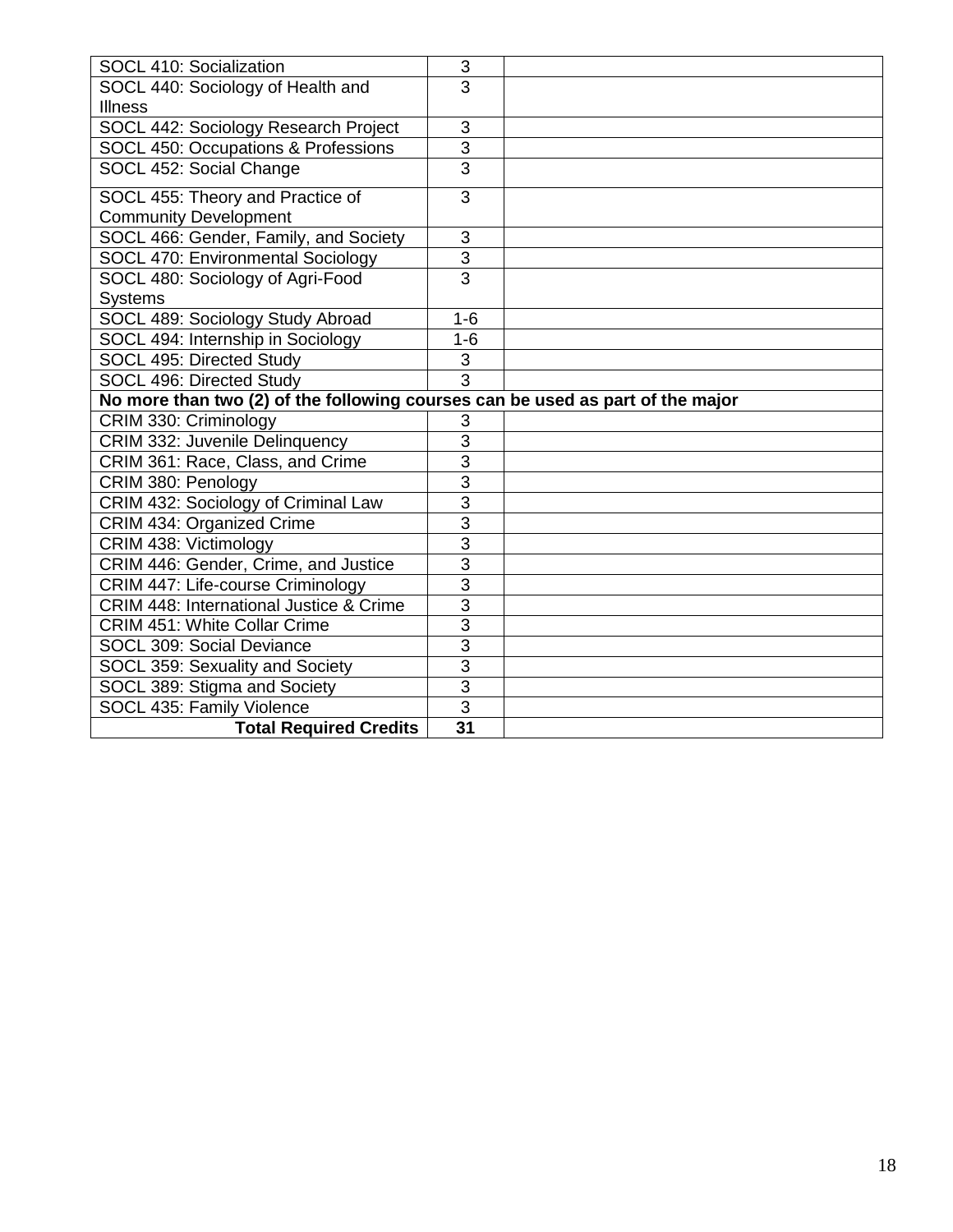| SOCL 410: Socialization                                                        | $\sqrt{3}$                        |  |
|--------------------------------------------------------------------------------|-----------------------------------|--|
| SOCL 440: Sociology of Health and                                              | 3                                 |  |
| <b>Illness</b>                                                                 |                                   |  |
| <b>SOCL 442: Sociology Research Project</b>                                    | 3                                 |  |
| SOCL 450: Occupations & Professions                                            | $\overline{3}$                    |  |
| SOCL 452: Social Change                                                        | $\overline{3}$                    |  |
| SOCL 455: Theory and Practice of                                               | 3                                 |  |
| <b>Community Development</b>                                                   |                                   |  |
| SOCL 466: Gender, Family, and Society                                          | $\sqrt{3}$                        |  |
| SOCL 470: Environmental Sociology                                              | $\overline{3}$                    |  |
| SOCL 480: Sociology of Agri-Food                                               | $\overline{3}$                    |  |
| <b>Systems</b>                                                                 |                                   |  |
| SOCL 489: Sociology Study Abroad                                               | $1 - 6$                           |  |
| SOCL 494: Internship in Sociology                                              | $1 - 6$                           |  |
| SOCL 495: Directed Study                                                       | $\mathbf{3}$                      |  |
| SOCL 496: Directed Study                                                       | $\overline{3}$                    |  |
|                                                                                |                                   |  |
| No more than two (2) of the following courses can be used as part of the major |                                   |  |
| CRIM 330: Criminology                                                          | 3                                 |  |
| CRIM 332: Juvenile Delinquency                                                 | $\overline{3}$                    |  |
| CRIM 361: Race, Class, and Crime                                               | 3                                 |  |
| CRIM 380: Penology                                                             | 3                                 |  |
| CRIM 432: Sociology of Criminal Law                                            | $\overline{3}$                    |  |
| CRIM 434: Organized Crime                                                      | $\overline{3}$                    |  |
| CRIM 438: Victimology                                                          | $\overline{3}$                    |  |
| CRIM 446: Gender, Crime, and Justice                                           | $\overline{3}$                    |  |
| CRIM 447: Life-course Criminology                                              | $\overline{3}$                    |  |
| <b>CRIM 448: International Justice &amp; Crime</b>                             | $\overline{3}$                    |  |
| <b>CRIM 451: White Collar Crime</b>                                            | $\overline{3}$                    |  |
| SOCL 309: Social Deviance                                                      | $\overline{3}$                    |  |
| SOCL 359: Sexuality and Society                                                | $\overline{3}$                    |  |
| SOCL 389: Stigma and Society                                                   | $\overline{3}$                    |  |
| SOCL 435: Family Violence<br><b>Total Required Credits</b>                     | $\overline{3}$<br>$\overline{31}$ |  |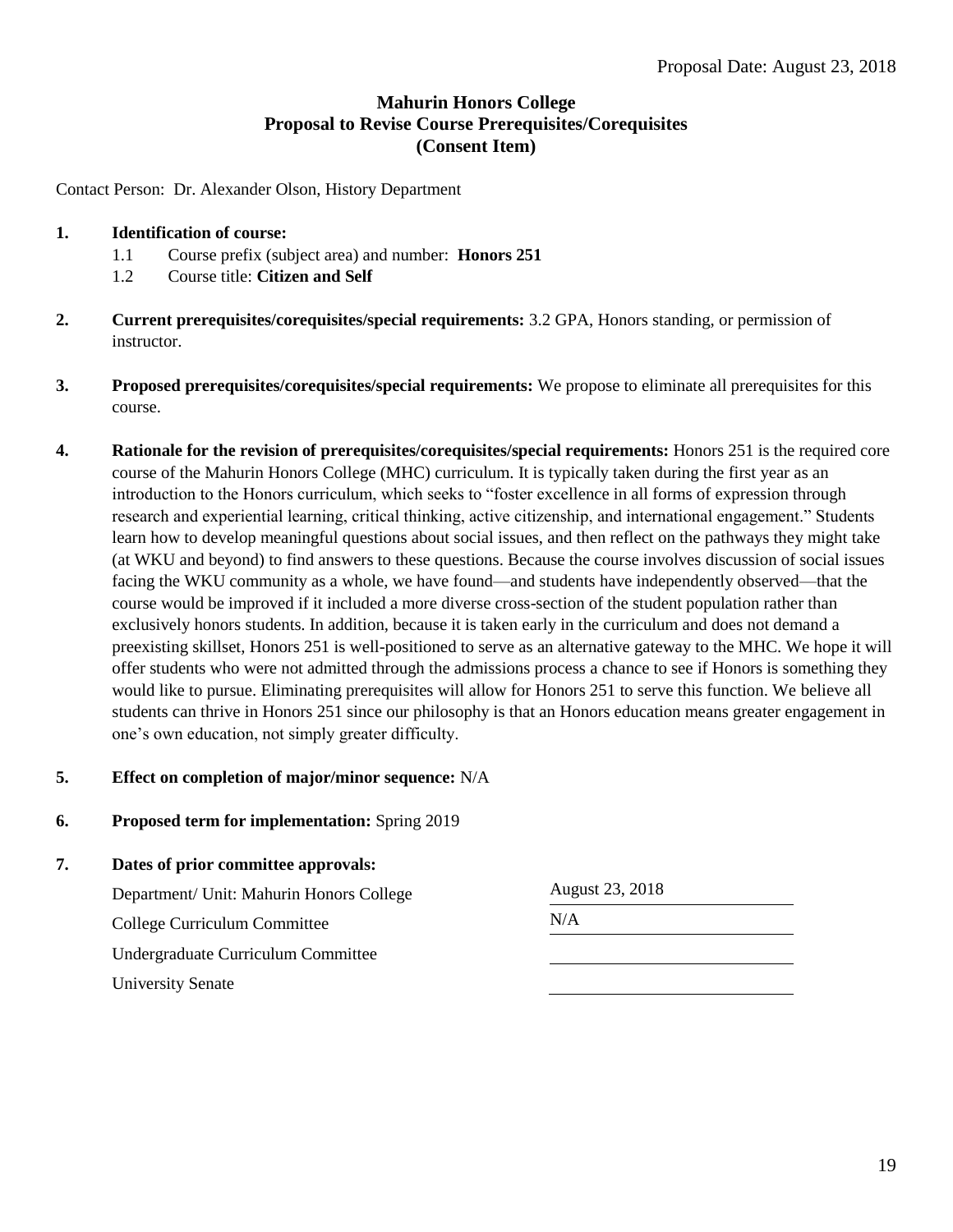# **Mahurin Honors College Proposal to Revise Course Prerequisites/Corequisites (Consent Item)**

Contact Person: Dr. Alexander Olson, History Department

- **1. Identification of course:**
	- 1.1 Course prefix (subject area) and number: **Honors 251**
	- 1.2 Course title: **Citizen and Self**
- **2. Current prerequisites/corequisites/special requirements:** 3.2 GPA, Honors standing, or permission of instructor.
- **3. Proposed prerequisites/corequisites/special requirements:** We propose to eliminate all prerequisites for this course.
- **4. Rationale for the revision of prerequisites/corequisites/special requirements:** Honors 251 is the required core course of the Mahurin Honors College (MHC) curriculum. It is typically taken during the first year as an introduction to the Honors curriculum, which seeks to "foster excellence in all forms of expression through research and experiential learning, critical thinking, active citizenship, and international engagement." Students learn how to develop meaningful questions about social issues, and then reflect on the pathways they might take (at WKU and beyond) to find answers to these questions. Because the course involves discussion of social issues facing the WKU community as a whole, we have found—and students have independently observed—that the course would be improved if it included a more diverse cross-section of the student population rather than exclusively honors students. In addition, because it is taken early in the curriculum and does not demand a preexisting skillset, Honors 251 is well-positioned to serve as an alternative gateway to the MHC. We hope it will offer students who were not admitted through the admissions process a chance to see if Honors is something they would like to pursue. Eliminating prerequisites will allow for Honors 251 to serve this function. We believe all students can thrive in Honors 251 since our philosophy is that an Honors education means greater engagement in one's own education, not simply greater difficulty.

#### **5. Effect on completion of major/minor sequence:** N/A

**6. Proposed term for implementation:** Spring 2019

| 7. | Dates of prior committee approvals:      |                 |  |
|----|------------------------------------------|-----------------|--|
|    | Department/ Unit: Mahurin Honors College | August 23, 2018 |  |
|    | College Curriculum Committee             | N/A             |  |
|    | Undergraduate Curriculum Committee       |                 |  |
|    | <b>University Senate</b>                 |                 |  |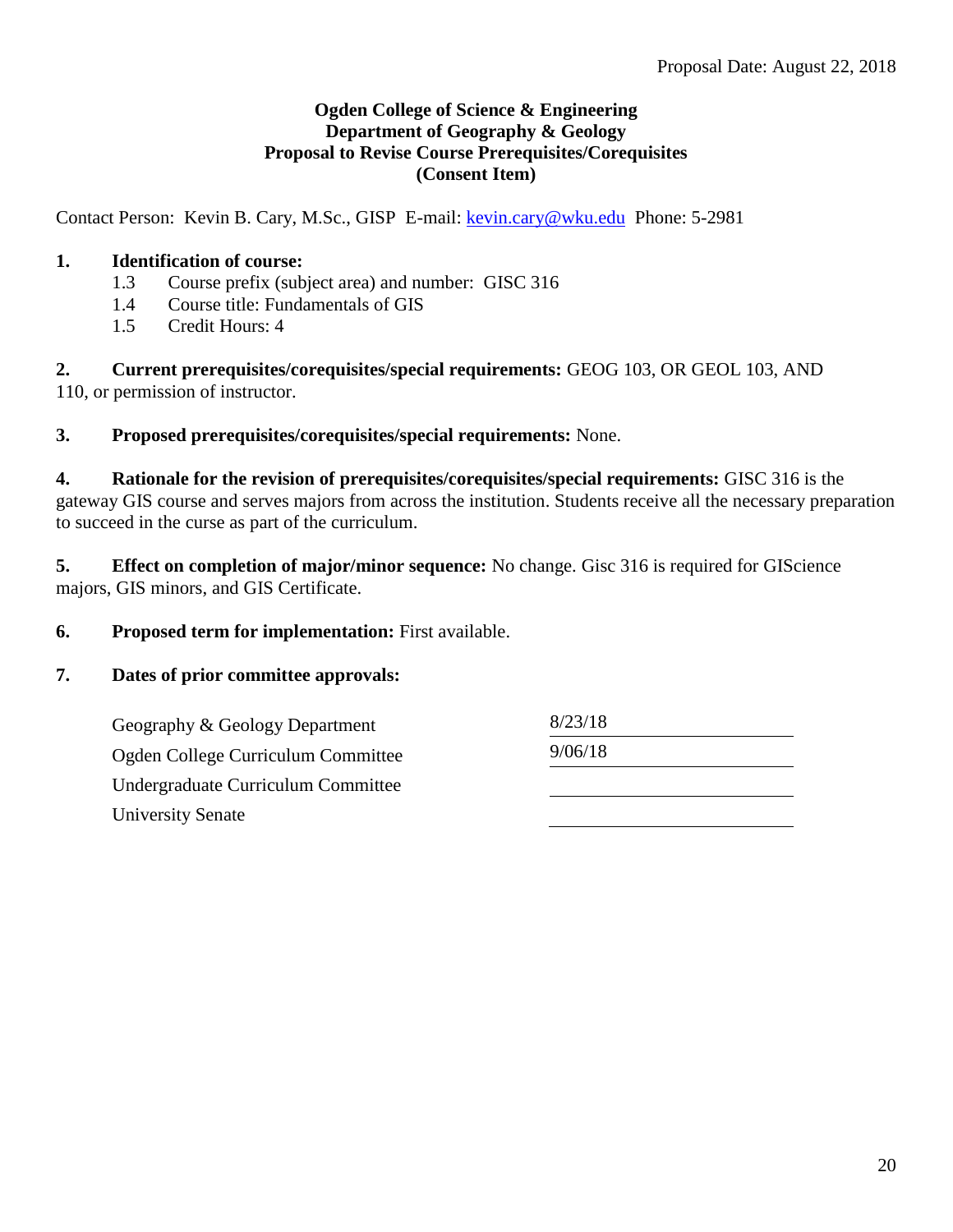# **Ogden College of Science & Engineering Department of Geography & Geology Proposal to Revise Course Prerequisites/Corequisites (Consent Item)**

Contact Person: Kevin B. Cary, M.Sc., GISP E-mail: [kevin.cary@wku.edu](mailto:kevin.cary@wku.edu) Phone: 5-2981

# **1. Identification of course:**

- 1.3 Course prefix (subject area) and number: GISC 316
- 1.4 Course title: Fundamentals of GIS
- 1.5 Credit Hours: 4

**2. Current prerequisites/corequisites/special requirements:** GEOG 103, OR GEOL 103, AND 110, or permission of instructor.

**3. Proposed prerequisites/corequisites/special requirements:** None.

**4. Rationale for the revision of prerequisites/corequisites/special requirements:** GISC 316 is the gateway GIS course and serves majors from across the institution. Students receive all the necessary preparation to succeed in the curse as part of the curriculum.

**5. Effect on completion of major/minor sequence:** No change. Gisc 316 is required for GIScience majors, GIS minors, and GIS Certificate.

**6. Proposed term for implementation:** First available.

# **7. Dates of prior committee approvals:**

Geography & Geology Department 8/23/18 Ogden College Curriculum Committee 9/06/18 Undergraduate Curriculum Committee University Senate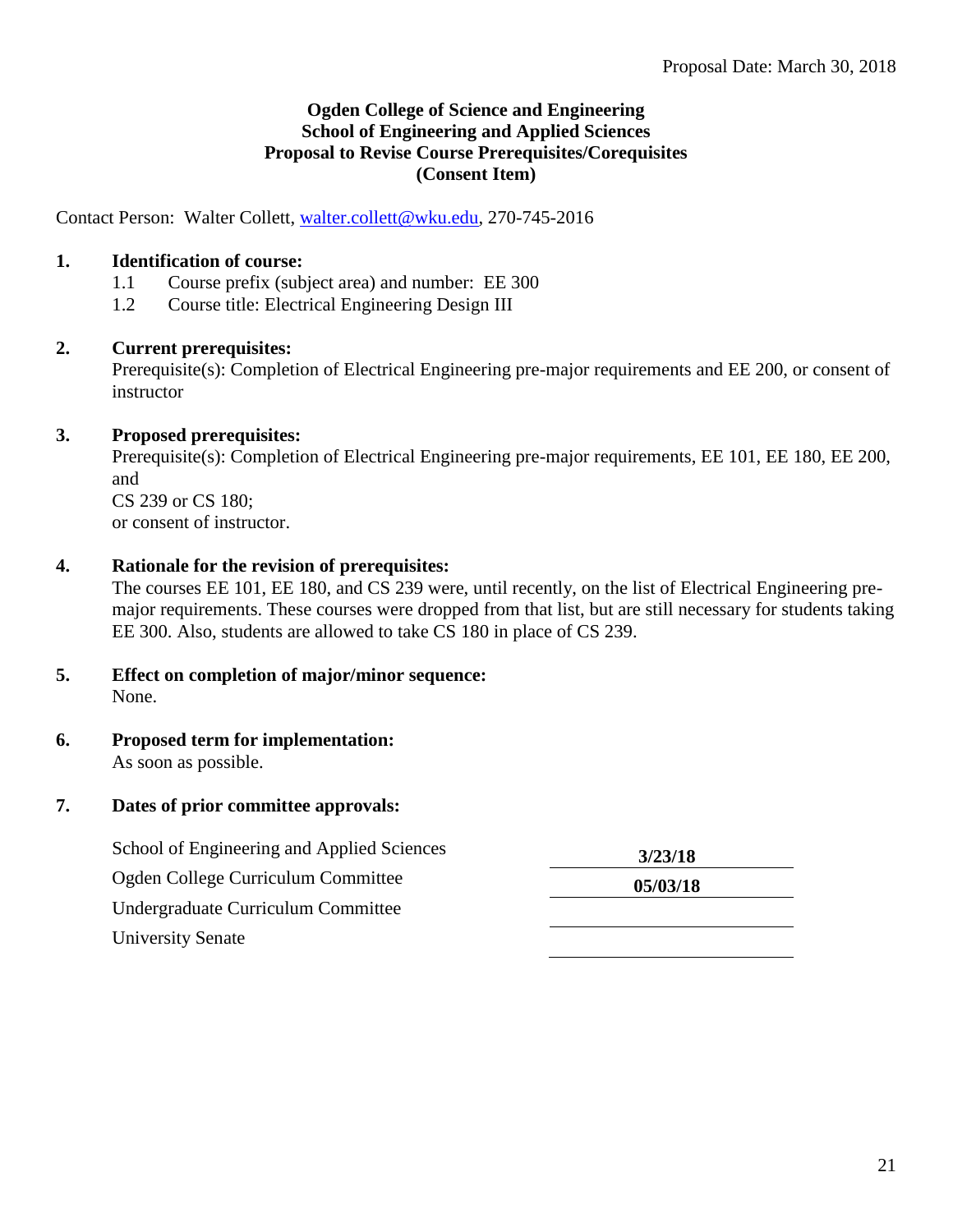# **Ogden College of Science and Engineering School of Engineering and Applied Sciences Proposal to Revise Course Prerequisites/Corequisites (Consent Item)**

Contact Person: Walter Collett, [walter.collett@wku.edu,](mailto:walter.collett@wku.edu) 270-745-2016

# **1. Identification of course:**

- 1.1 Course prefix (subject area) and number: EE 300
- 1.2 Course title: Electrical Engineering Design III

## **2. Current prerequisites:**

Prerequisite(s): Completion of Electrical Engineering pre-major requirements and EE 200, or consent of instructor

## **3. Proposed prerequisites:**

Prerequisite(s): Completion of Electrical Engineering pre-major requirements, EE 101, EE 180, EE 200, and CS 239 or CS 180; or consent of instructor.

## **4. Rationale for the revision of prerequisites:**

The courses EE 101, EE 180, and CS 239 were, until recently, on the list of Electrical Engineering premajor requirements. These courses were dropped from that list, but are still necessary for students taking EE 300. Also, students are allowed to take CS 180 in place of CS 239.

#### **5. Effect on completion of major/minor sequence:** None.

#### **6. Proposed term for implementation:** As soon as possible.

#### **7. Dates of prior committee approvals:**

| School of Engineering and Applied Sciences | 3/23/18  |
|--------------------------------------------|----------|
| Ogden College Curriculum Committee         | 05/03/18 |
| Undergraduate Curriculum Committee         |          |
| <b>University Senate</b>                   |          |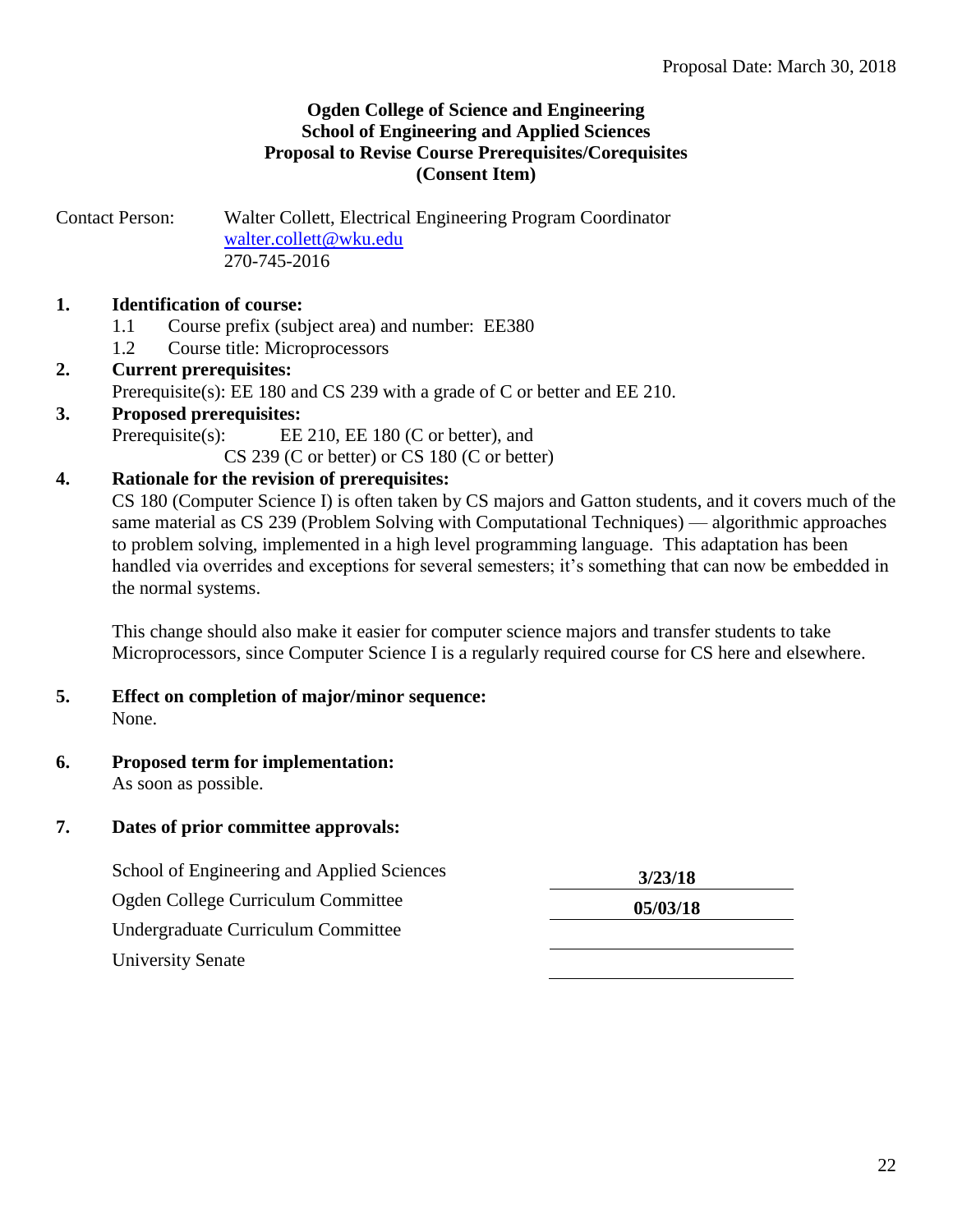# **Ogden College of Science and Engineering School of Engineering and Applied Sciences Proposal to Revise Course Prerequisites/Corequisites (Consent Item)**

Contact Person: Walter Collett, Electrical Engineering Program Coordinator [walter.collett@wku.edu](mailto:walter.collett@wku.edu) 270-745-2016

# **1. Identification of course:**

- 1.1 Course prefix (subject area) and number: EE380
- 1.2 Course title: Microprocessors

# **2. Current prerequisites:** Prerequisite(s): EE 180 and CS 239 with a grade of C or better and EE 210.

**3. Proposed prerequisites:**

Prerequisite(s): EE 210, EE 180 (C or better), and

CS 239 (C or better) or CS 180 (C or better)

# **4. Rationale for the revision of prerequisites:**

CS 180 (Computer Science I) is often taken by CS majors and Gatton students, and it covers much of the same material as CS 239 (Problem Solving with Computational Techniques) — algorithmic approaches to problem solving, implemented in a high level programming language. This adaptation has been handled via overrides and exceptions for several semesters; it's something that can now be embedded in the normal systems.

This change should also make it easier for computer science majors and transfer students to take Microprocessors, since Computer Science I is a regularly required course for CS here and elsewhere.

#### **5. Effect on completion of major/minor sequence:** None.

**6. Proposed term for implementation:** As soon as possible.

# **7. Dates of prior committee approvals:**

| School of Engineering and Applied Sciences | 3/23/18  |
|--------------------------------------------|----------|
| Ogden College Curriculum Committee         | 05/03/18 |
| Undergraduate Curriculum Committee         |          |
| <b>University Senate</b>                   |          |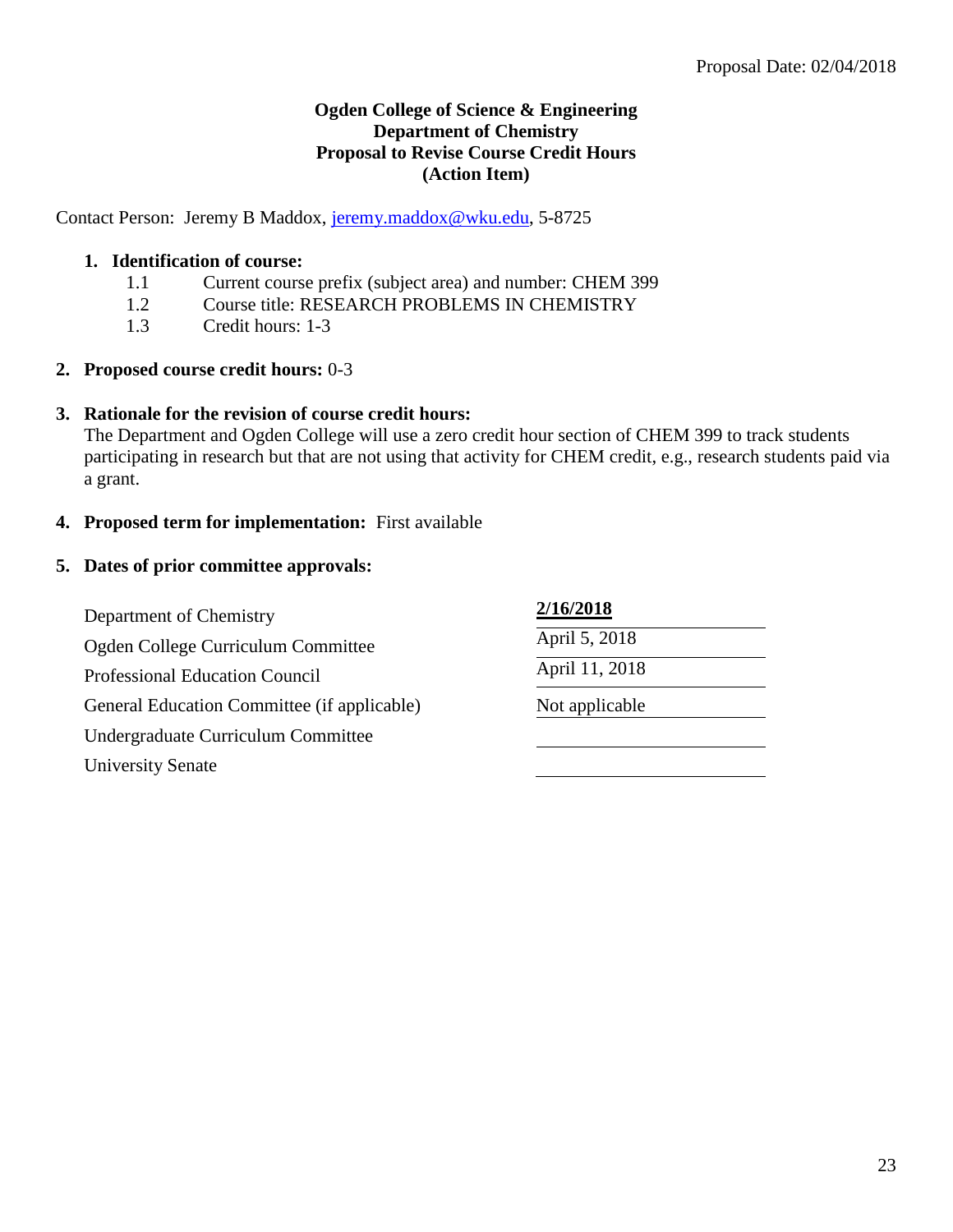# **Ogden College of Science & Engineering Department of Chemistry Proposal to Revise Course Credit Hours (Action Item)**

Contact Person: Jeremy B Maddox, [jeremy.maddox@wku.edu,](mailto:jeremy.maddox@wku.edu) 5-8725

## **1. Identification of course:**

- 1.1 Current course prefix (subject area) and number: CHEM 399
- 1.2 Course title: RESEARCH PROBLEMS IN CHEMISTRY
- 1.3 Credit hours: 1-3
- **2. Proposed course credit hours:** 0-3

## **3. Rationale for the revision of course credit hours:**

The Department and Ogden College will use a zero credit hour section of CHEM 399 to track students participating in research but that are not using that activity for CHEM credit, e.g., research students paid via a grant.

**4. Proposed term for implementation:** First available

## **5. Dates of prior committee approvals:**

Department of Chemistry **2/16/2018** Ogden College Curriculum Committee April 5, 2018 Professional Education Council April 11, 2018 General Education Committee (if applicable) Not applicable Undergraduate Curriculum Committee University Senate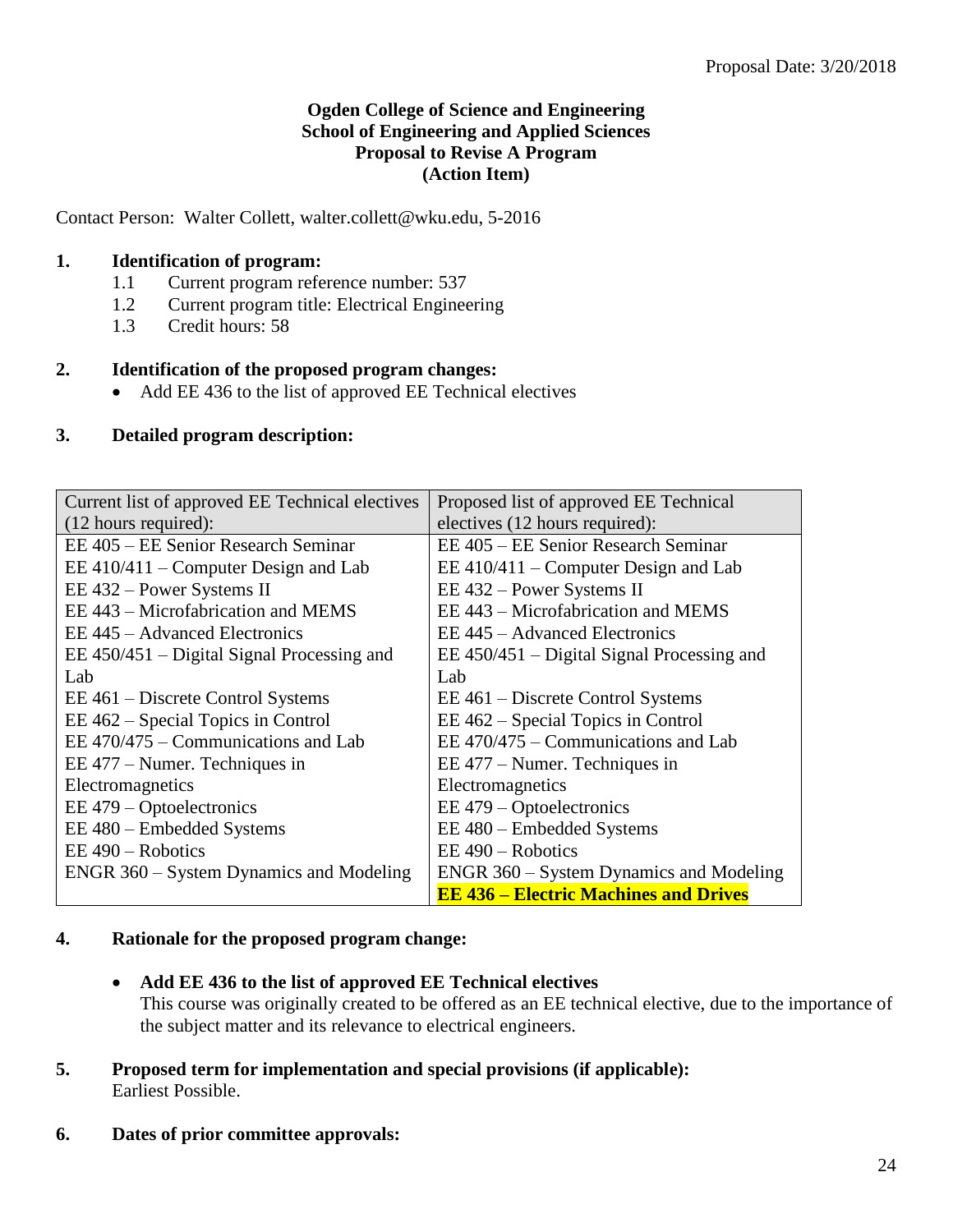# **Ogden College of Science and Engineering School of Engineering and Applied Sciences Proposal to Revise A Program (Action Item)**

Contact Person: Walter Collett, walter.collett@wku.edu, 5-2016

## **1. Identification of program:**

- 1.1 Current program reference number: 537
- 1.2 Current program title: Electrical Engineering
- 1.3 Credit hours: 58

## **2. Identification of the proposed program changes:**

• Add EE 436 to the list of approved EE Technical electives

## **3. Detailed program description:**

| Current list of approved EE Technical electives | Proposed list of approved EE Technical       |
|-------------------------------------------------|----------------------------------------------|
| $(12$ hours required):                          | electives (12 hours required):               |
| EE 405 – EE Senior Research Seminar             | EE 405 – EE Senior Research Seminar          |
| EE $410/411$ – Computer Design and Lab          | $EE$ 410/411 – Computer Design and Lab       |
| EE 432 – Power Systems II                       | EE 432 – Power Systems II                    |
| EE 443 – Microfabrication and MEMS              | EE 443 – Microfabrication and MEMS           |
| EE 445 – Advanced Electronics                   | EE 445 – Advanced Electronics                |
| $EE$ 450/451 – Digital Signal Processing and    | $EE$ 450/451 – Digital Signal Processing and |
| Lab                                             | Lab                                          |
| EE 461 – Discrete Control Systems               | EE 461 – Discrete Control Systems            |
| EE 462 – Special Topics in Control              | EE 462 – Special Topics in Control           |
| EE $470/475$ – Communications and Lab           | EE $470/475$ – Communications and Lab        |
| EE 477 – Numer. Techniques in                   | EE 477 – Numer. Techniques in                |
| Electromagnetics                                | Electromagnetics                             |
| EE 479 – Optoelectronics                        | EE 479 – Optoelectronics                     |
| EE 480 – Embedded Systems                       | EE 480 - Embedded Systems                    |
| $EE$ 490 – Robotics                             | $EE$ 490 – Robotics                          |
| ENGR 360 – System Dynamics and Modeling         | ENGR 360 – System Dynamics and Modeling      |
|                                                 | <b>EE 436 – Electric Machines and Drives</b> |

#### **4. Rationale for the proposed program change:**

- **Add EE 436 to the list of approved EE Technical electives** This course was originally created to be offered as an EE technical elective, due to the importance of the subject matter and its relevance to electrical engineers.
- **5. Proposed term for implementation and special provisions (if applicable):** Earliest Possible.
- **6. Dates of prior committee approvals:**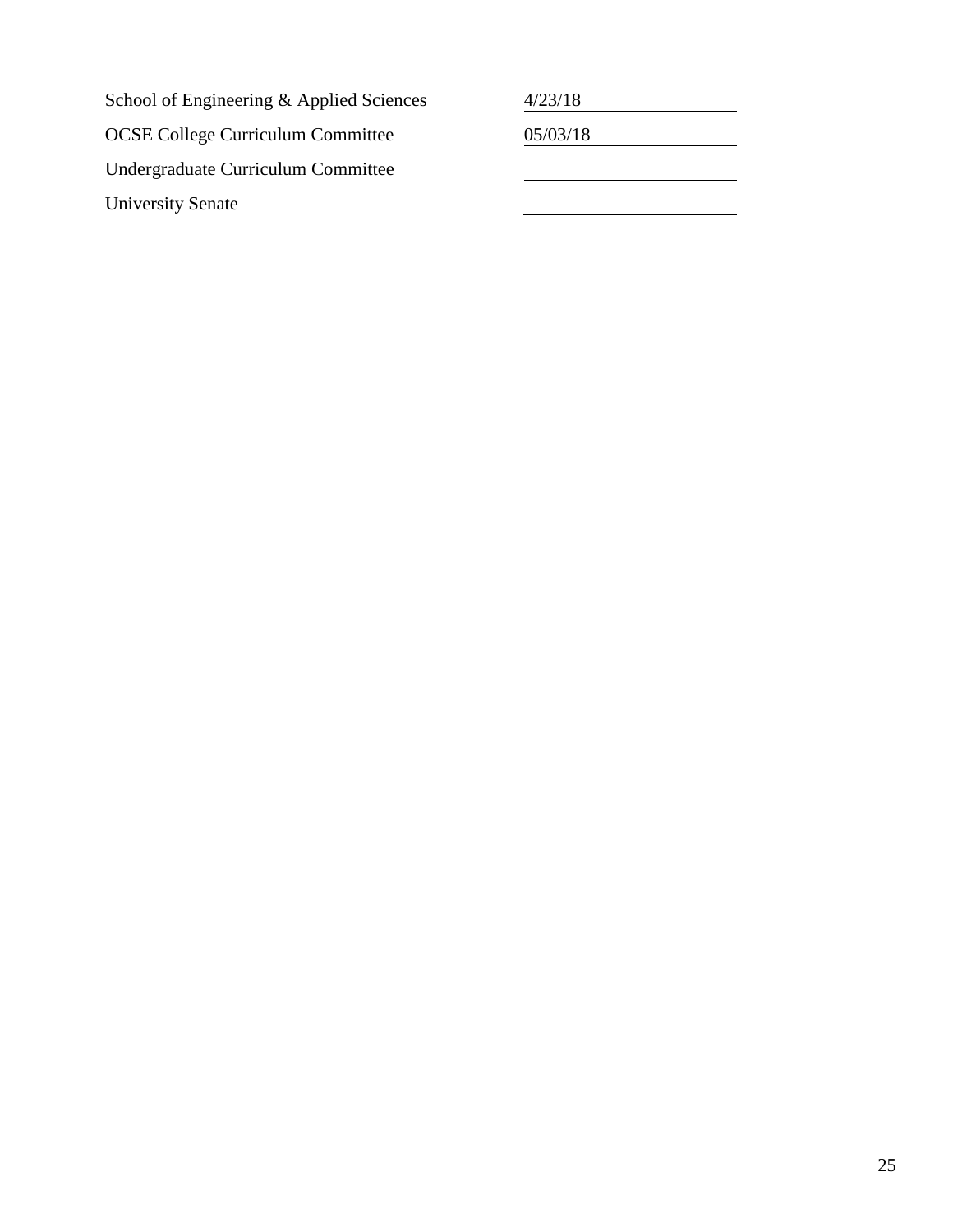School of Engineering & Applied Sciences  $\frac{4}{23/18}$ OCSE College Curriculum Committee 05/03/18 Undergraduate Curriculum Committee University Senate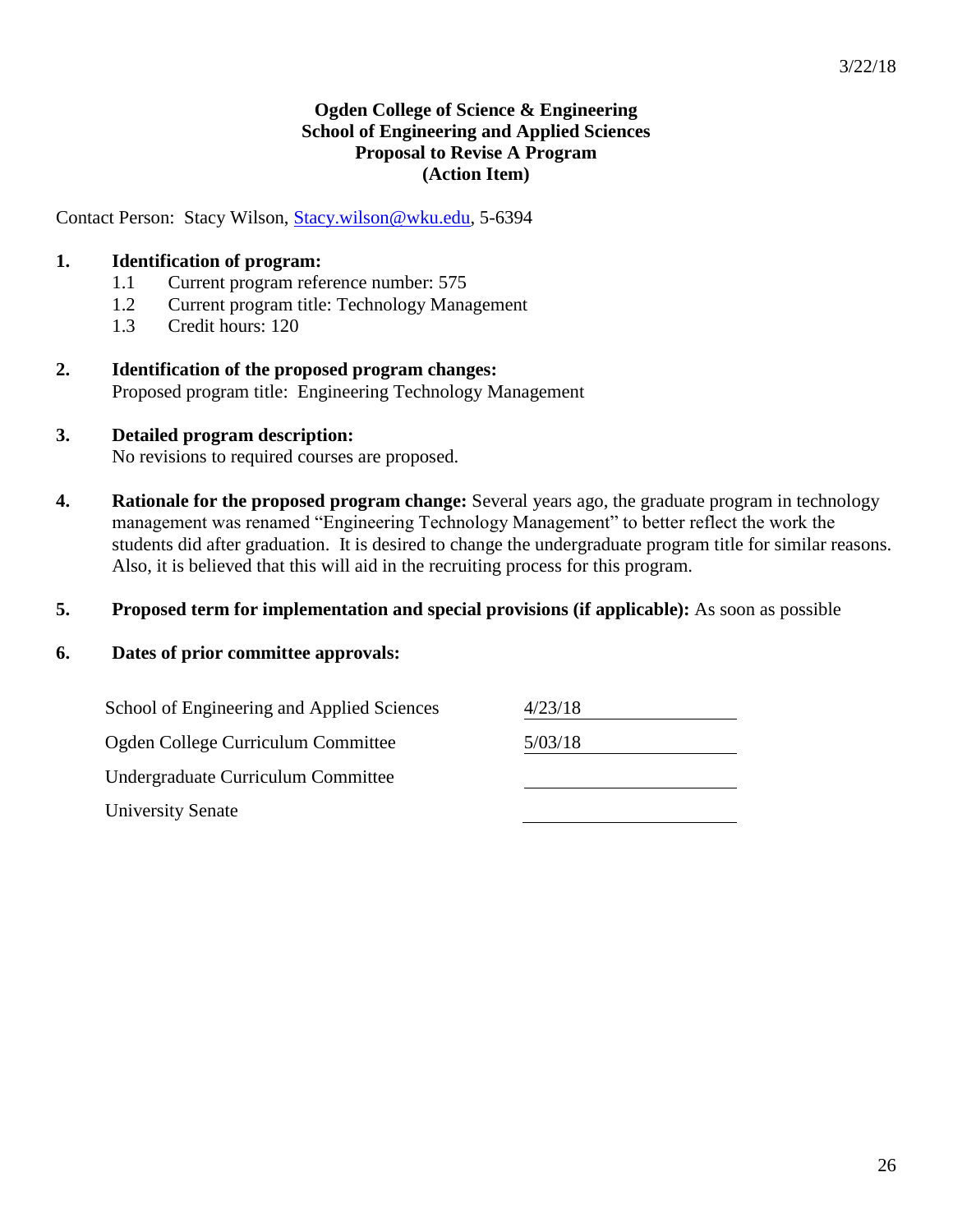# **Ogden College of Science & Engineering School of Engineering and Applied Sciences Proposal to Revise A Program (Action Item)**

Contact Person: Stacy Wilson, [Stacy.wilson@wku.edu,](mailto:Stacy.wilson@wku.edu) 5-6394

# **1. Identification of program:**

- 1.1 Current program reference number: 575
- 1.2 Current program title: Technology Management
- 1.3 Credit hours: 120
- **2. Identification of the proposed program changes:** Proposed program title: Engineering Technology Management
- **3. Detailed program description:** No revisions to required courses are proposed.
- **4. Rationale for the proposed program change:** Several years ago, the graduate program in technology management was renamed "Engineering Technology Management" to better reflect the work the students did after graduation. It is desired to change the undergraduate program title for similar reasons. Also, it is believed that this will aid in the recruiting process for this program.

#### **5. Proposed term for implementation and special provisions (if applicable):** As soon as possible

#### **6. Dates of prior committee approvals:**

| School of Engineering and Applied Sciences | 4/23/18 |
|--------------------------------------------|---------|
| Ogden College Curriculum Committee         | 5/03/18 |
| Undergraduate Curriculum Committee         |         |
| <b>University Senate</b>                   |         |